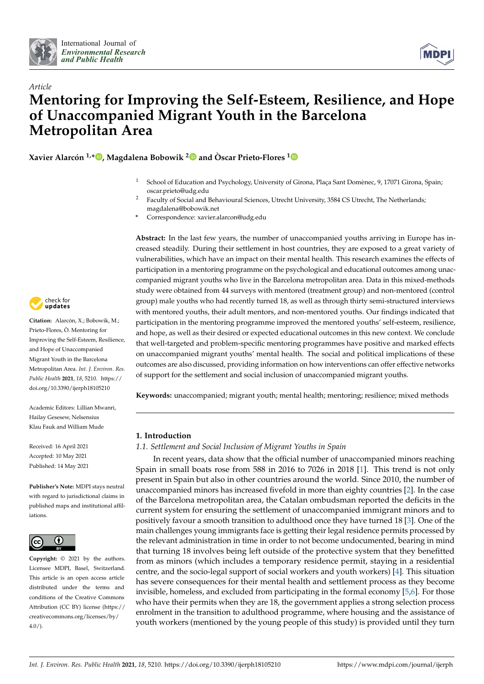



# *Article* **Mentoring for Improving the Self-Esteem, Resilience, and Hope of Unaccompanied Migrant Youth in the Barcelona Metropolitan Area**

**Xavier Alarcón 1,[\\*](https://orcid.org/0000-0003-4274-1408) , Magdalena Bobowik [2](https://orcid.org/0000-0002-2341-0665) and Òscar Prieto-Flores [1](https://orcid.org/0000-0003-4162-6109)**

- <sup>1</sup> School of Education and Psychology, University of Girona, Plaça Sant Domènec, 9, 17071 Girona, Spain; oscar.prieto@udg.edu
- <sup>2</sup> Faculty of Social and Behavioural Sciences, Utrecht University, 3584 CS Utrecht, The Netherlands; magdalena@bobowik.net
- **\*** Correspondence: xavier.alarcon@udg.edu

**Abstract:** In the last few years, the number of unaccompanied youths arriving in Europe has increased steadily. During their settlement in host countries, they are exposed to a great variety of vulnerabilities, which have an impact on their mental health. This research examines the effects of participation in a mentoring programme on the psychological and educational outcomes among unaccompanied migrant youths who live in the Barcelona metropolitan area. Data in this mixed-methods study were obtained from 44 surveys with mentored (treatment group) and non-mentored (control group) male youths who had recently turned 18, as well as through thirty semi-structured interviews with mentored youths, their adult mentors, and non-mentored youths. Our findings indicated that participation in the mentoring programme improved the mentored youths' self-esteem, resilience, and hope, as well as their desired or expected educational outcomes in this new context. We conclude that well-targeted and problem-specific mentoring programmes have positive and marked effects on unaccompanied migrant youths' mental health. The social and political implications of these outcomes are also discussed, providing information on how interventions can offer effective networks of support for the settlement and social inclusion of unaccompanied migrant youths.

**Keywords:** unaccompanied; migrant youth; mental health; mentoring; resilience; mixed methods

# **1. Introduction**

# *1.1. Settlement and Social Inclusion of Migrant Youths in Spain*

In recent years, data show that the official number of unaccompanied minors reaching Spain in small boats rose from 588 in 2016 to 7026 in 2018 [\[1\]](#page-21-0). This trend is not only present in Spain but also in other countries around the world. Since 2010, the number of unaccompanied minors has increased fivefold in more than eighty countries [\[2\]](#page-21-1). In the case of the Barcelona metropolitan area, the Catalan ombudsman reported the deficits in the current system for ensuring the settlement of unaccompanied immigrant minors and to positively favour a smooth transition to adulthood once they have turned 18 [\[3\]](#page-21-2). One of the main challenges young immigrants face is getting their legal residence permits processed by the relevant administration in time in order to not become undocumented, bearing in mind that turning 18 involves being left outside of the protective system that they benefitted from as minors (which includes a temporary residence permit, staying in a residential centre, and the socio-legal support of social workers and youth workers) [\[4\]](#page-21-3). This situation has severe consequences for their mental health and settlement process as they become invisible, homeless, and excluded from participating in the formal economy [\[5,](#page-21-4)[6\]](#page-21-5). For those who have their permits when they are 18, the government applies a strong selection process enrolment in the transition to adulthood programme, where housing and the assistance of youth workers (mentioned by the young people of this study) is provided until they turn



**Citation:** Alarcón, X.; Bobowik, M.; Prieto-Flores, Ò. Mentoring for Improving the Self-Esteem, Resilience, and Hope of Unaccompanied Migrant Youth in the Barcelona Metropolitan Area. *Int. J. Environ. Res. Public Health* **2021**, *18*, 5210. [https://](https://doi.org/10.3390/ijerph18105210) [doi.org/10.3390/ijerph18105210](https://doi.org/10.3390/ijerph18105210)

Academic Editors: Lillian Mwanri, Hailay Gesesew, Nelsensius Klau Fauk and William Mude

Received: 16 April 2021 Accepted: 10 May 2021 Published: 14 May 2021

**Publisher's Note:** MDPI stays neutral with regard to jurisdictional claims in published maps and institutional affiliations.



**Copyright:** © 2021 by the authors. Licensee MDPI, Basel, Switzerland. This article is an open access article distributed under the terms and conditions of the Creative Commons Attribution (CC BY) license (https:/[/](https://creativecommons.org/licenses/by/4.0/) [creativecommons.org/licenses/by/](https://creativecommons.org/licenses/by/4.0/) 4.0/).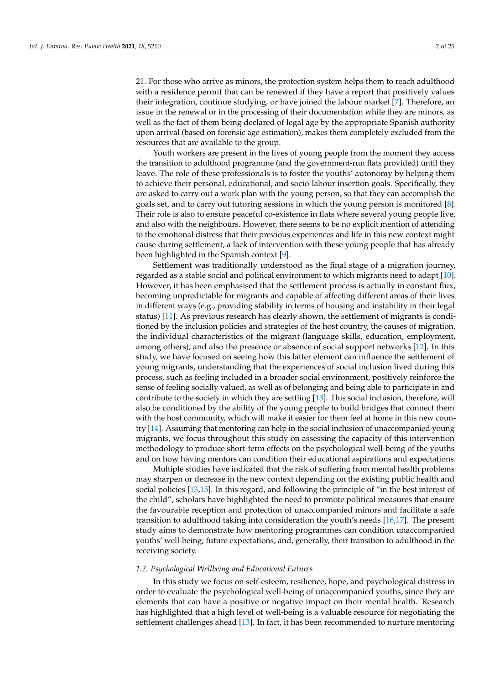21. For those who arrive as minors, the protection system helps them to reach adulthood with a residence permit that can be renewed if they have a report that positively values their integration, continue studying, or have joined the labour market [\[7\]](#page-21-6). Therefore, an issue in the renewal or in the processing of their documentation while they are minors, as well as the fact of them being declared of legal age by the appropriate Spanish authority upon arrival (based on forensic age estimation), makes them completely excluded from the resources that are available to the group.

Youth workers are present in the lives of young people from the moment they access the transition to adulthood programme (and the government-run flats provided) until they leave. The role of these professionals is to foster the youths' autonomy by helping them to achieve their personal, educational, and socio-labour insertion goals. Specifically, they are asked to carry out a work plan with the young person, so that they can accomplish the goals set, and to carry out tutoring sessions in which the young person is monitored [\[8\]](#page-21-7). Their role is also to ensure peaceful co-existence in flats where several young people live, and also with the neighbours. However, there seems to be no explicit mention of attending to the emotional distress that their previous experiences and life in this new context might cause during settlement, a lack of intervention with these young people that has already been highlighted in the Spanish context [\[9\]](#page-21-8).

Settlement was traditionally understood as the final stage of a migration journey, regarded as a stable social and political environment to which migrants need to adapt [\[10\]](#page-21-9). However, it has been emphasised that the settlement process is actually in constant flux, becoming unpredictable for migrants and capable of affecting different areas of their lives in different ways (e.g., providing stability in terms of housing and instability in their legal status) [\[11\]](#page-21-10). As previous research has clearly shown, the settlement of migrants is conditioned by the inclusion policies and strategies of the host country, the causes of migration, the individual characteristics of the migrant (language skills, education, employment, among others), and also the presence or absence of social support networks [\[12\]](#page-21-11). In this study, we have focused on seeing how this latter element can influence the settlement of young migrants, understanding that the experiences of social inclusion lived during this process, such as feeling included in a broader social environment, positively reinforce the sense of feeling socially valued, as well as of belonging and being able to participate in and contribute to the society in which they are settling [\[13\]](#page-21-12). This social inclusion, therefore, will also be conditioned by the ability of the young people to build bridges that connect them with the host community, which will make it easier for them feel at home in this new country [\[14\]](#page-21-13). Assuming that mentoring can help in the social inclusion of unaccompanied young migrants, we focus throughout this study on assessing the capacity of this intervention methodology to produce short-term effects on the psychological well-being of the youths and on how having mentors can condition their educational aspirations and expectations.

Multiple studies have indicated that the risk of suffering from mental health problems may sharpen or decrease in the new context depending on the existing public health and social policies [\[13](#page-21-12)[,15\]](#page-21-14). In this regard, and following the principle of "in the best interest of the child", scholars have highlighted the need to promote political measures that ensure the favourable reception and protection of unaccompanied minors and facilitate a safe transition to adulthood taking into consideration the youth's needs [\[16,](#page-21-15)[17\]](#page-21-16). The present study aims to demonstrate how mentoring programmes can condition unaccompanied youths' well-being; future expectations; and, generally, their transition to adulthood in the receiving society.

#### *1.2. Psychological Wellbeing and Educational Futures*

In this study we focus on self-esteem, resilience, hope, and psychological distress in order to evaluate the psychological well-being of unaccompanied youths, since they are elements that can have a positive or negative impact on their mental health. Research has highlighted that a high level of well-being is a valuable resource for negotiating the settlement challenges ahead [\[13\]](#page-21-12). In fact, it has been recommended to nurture mentoring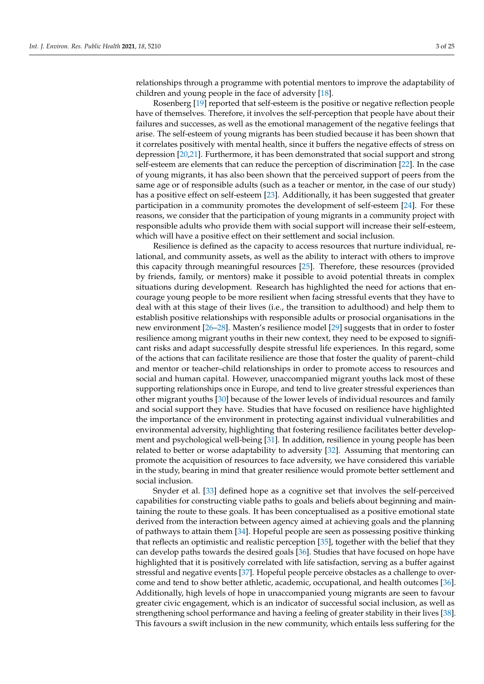relationships through a programme with potential mentors to improve the adaptability of children and young people in the face of adversity [\[18\]](#page-21-17).

Rosenberg [\[19\]](#page-22-0) reported that self-esteem is the positive or negative reflection people have of themselves. Therefore, it involves the self-perception that people have about their failures and successes, as well as the emotional management of the negative feelings that arise. The self-esteem of young migrants has been studied because it has been shown that it correlates positively with mental health, since it buffers the negative effects of stress on depression [\[20,](#page-22-1)[21\]](#page-22-2). Furthermore, it has been demonstrated that social support and strong self-esteem are elements that can reduce the perception of discrimination [\[22\]](#page-22-3). In the case of young migrants, it has also been shown that the perceived support of peers from the same age or of responsible adults (such as a teacher or mentor, in the case of our study) has a positive effect on self-esteem [\[23\]](#page-22-4). Additionally, it has been suggested that greater participation in a community promotes the development of self-esteem [\[24\]](#page-22-5). For these reasons, we consider that the participation of young migrants in a community project with responsible adults who provide them with social support will increase their self-esteem, which will have a positive effect on their settlement and social inclusion.

Resilience is defined as the capacity to access resources that nurture individual, relational, and community assets, as well as the ability to interact with others to improve this capacity through meaningful resources [\[25\]](#page-22-6). Therefore, these resources (provided by friends, family, or mentors) make it possible to avoid potential threats in complex situations during development. Research has highlighted the need for actions that encourage young people to be more resilient when facing stressful events that they have to deal with at this stage of their lives (i.e., the transition to adulthood) and help them to establish positive relationships with responsible adults or prosocial organisations in the new environment [\[26](#page-22-7)[–28\]](#page-22-8). Masten's resilience model [\[29\]](#page-22-9) suggests that in order to foster resilience among migrant youths in their new context, they need to be exposed to significant risks and adapt successfully despite stressful life experiences. In this regard, some of the actions that can facilitate resilience are those that foster the quality of parent–child and mentor or teacher–child relationships in order to promote access to resources and social and human capital. However, unaccompanied migrant youths lack most of these supporting relationships once in Europe, and tend to live greater stressful experiences than other migrant youths [\[30\]](#page-22-10) because of the lower levels of individual resources and family and social support they have. Studies that have focused on resilience have highlighted the importance of the environment in protecting against individual vulnerabilities and environmental adversity, highlighting that fostering resilience facilitates better development and psychological well-being [\[31\]](#page-22-11). In addition, resilience in young people has been related to better or worse adaptability to adversity [\[32\]](#page-22-12). Assuming that mentoring can promote the acquisition of resources to face adversity, we have considered this variable in the study, bearing in mind that greater resilience would promote better settlement and social inclusion.

Snyder et al. [\[33\]](#page-22-13) defined hope as a cognitive set that involves the self-perceived capabilities for constructing viable paths to goals and beliefs about beginning and maintaining the route to these goals. It has been conceptualised as a positive emotional state derived from the interaction between agency aimed at achieving goals and the planning of pathways to attain them [\[34\]](#page-22-14). Hopeful people are seen as possessing positive thinking that reflects an optimistic and realistic perception [\[35\]](#page-22-15), together with the belief that they can develop paths towards the desired goals [\[36\]](#page-22-16). Studies that have focused on hope have highlighted that it is positively correlated with life satisfaction, serving as a buffer against stressful and negative events [\[37\]](#page-22-17). Hopeful people perceive obstacles as a challenge to overcome and tend to show better athletic, academic, occupational, and health outcomes [\[36\]](#page-22-16). Additionally, high levels of hope in unaccompanied young migrants are seen to favour greater civic engagement, which is an indicator of successful social inclusion, as well as strengthening school performance and having a feeling of greater stability in their lives [\[38\]](#page-22-18). This favours a swift inclusion in the new community, which entails less suffering for the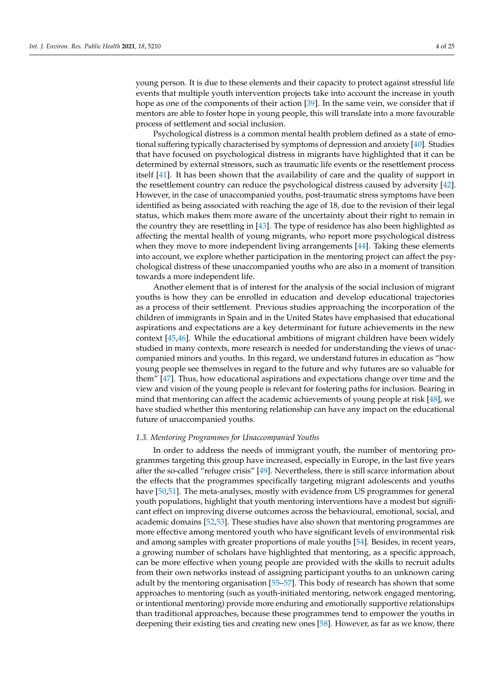young person. It is due to these elements and their capacity to protect against stressful life events that multiple youth intervention projects take into account the increase in youth hope as one of the components of their action [\[39\]](#page-22-19). In the same vein, we consider that if mentors are able to foster hope in young people, this will translate into a more favourable process of settlement and social inclusion.

Psychological distress is a common mental health problem defined as a state of emotional suffering typically characterised by symptoms of depression and anxiety [\[40\]](#page-22-20). Studies that have focused on psychological distress in migrants have highlighted that it can be determined by external stressors, such as traumatic life events or the resettlement process itself [\[41\]](#page-22-21). It has been shown that the availability of care and the quality of support in the resettlement country can reduce the psychological distress caused by adversity [\[42\]](#page-22-22). However, in the case of unaccompanied youths, post-traumatic stress symptoms have been identified as being associated with reaching the age of 18, due to the revision of their legal status, which makes them more aware of the uncertainty about their right to remain in the country they are resettling in [\[43\]](#page-22-23). The type of residence has also been highlighted as affecting the mental health of young migrants, who report more psychological distress when they move to more independent living arrangements [\[44\]](#page-22-24). Taking these elements into account, we explore whether participation in the mentoring project can affect the psychological distress of these unaccompanied youths who are also in a moment of transition towards a more independent life.

Another element that is of interest for the analysis of the social inclusion of migrant youths is how they can be enrolled in education and develop educational trajectories as a process of their settlement. Previous studies approaching the incorporation of the children of immigrants in Spain and in the United States have emphasised that educational aspirations and expectations are a key determinant for future achievements in the new context [\[45](#page-22-25)[,46\]](#page-22-26). While the educational ambitions of migrant children have been widely studied in many contexts, more research is needed for understanding the views of unaccompanied minors and youths. In this regard, we understand futures in education as "how young people see themselves in regard to the future and why futures are so valuable for them" [\[47\]](#page-22-27). Thus, how educational aspirations and expectations change over time and the view and vision of the young people is relevant for fostering paths for inclusion. Bearing in mind that mentoring can affect the academic achievements of young people at risk [\[48\]](#page-23-0), we have studied whether this mentoring relationship can have any impact on the educational future of unaccompanied youths.

#### *1.3. Mentoring Programmes for Unaccompanied Youths*

In order to address the needs of immigrant youth, the number of mentoring programmes targeting this group have increased, especially in Europe, in the last five years after the so-called "refugee crisis" [\[49\]](#page-23-1). Nevertheless, there is still scarce information about the effects that the programmes specifically targeting migrant adolescents and youths have [\[50,](#page-23-2)[51\]](#page-23-3). The meta-analyses, mostly with evidence from US programmes for general youth populations, highlight that youth mentoring interventions have a modest but significant effect on improving diverse outcomes across the behavioural, emotional, social, and academic domains [\[52,](#page-23-4)[53\]](#page-23-5). These studies have also shown that mentoring programmes are more effective among mentored youth who have significant levels of environmental risk and among samples with greater proportions of male youths [\[54\]](#page-23-6). Besides, in recent years, a growing number of scholars have highlighted that mentoring, as a specific approach, can be more effective when young people are provided with the skills to recruit adults from their own networks instead of assigning participant youths to an unknown caring adult by the mentoring organisation [\[55](#page-23-7)[–57\]](#page-23-8). This body of research has shown that some approaches to mentoring (such as youth-initiated mentoring, network engaged mentoring, or intentional mentoring) provide more enduring and emotionally supportive relationships than traditional approaches, because these programmes tend to empower the youths in deepening their existing ties and creating new ones [\[58\]](#page-23-9). However, as far as we know, there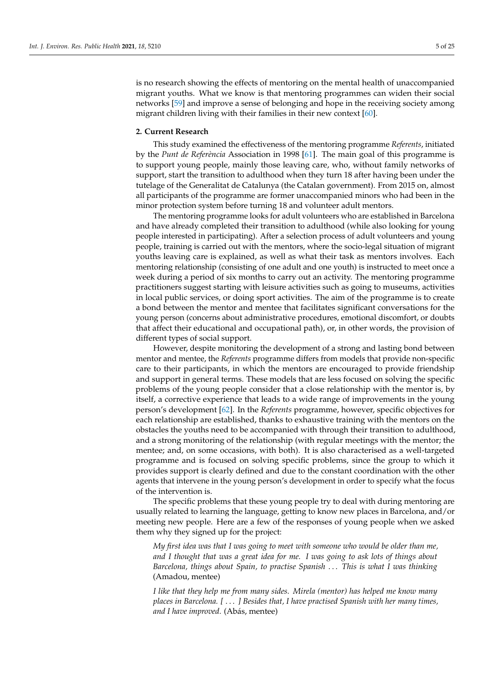is no research showing the effects of mentoring on the mental health of unaccompanied migrant youths. What we know is that mentoring programmes can widen their social networks [\[59\]](#page-23-10) and improve a sense of belonging and hope in the receiving society among migrant children living with their families in their new context [\[60\]](#page-23-11).

### **2. Current Research**

This study examined the effectiveness of the mentoring programme *Referents*, initiated by the *Punt de Referència* Association in 1998 [\[61\]](#page-23-12). The main goal of this programme is to support young people, mainly those leaving care, who, without family networks of support, start the transition to adulthood when they turn 18 after having been under the tutelage of the Generalitat de Catalunya (the Catalan government). From 2015 on, almost all participants of the programme are former unaccompanied minors who had been in the minor protection system before turning 18 and volunteer adult mentors.

The mentoring programme looks for adult volunteers who are established in Barcelona and have already completed their transition to adulthood (while also looking for young people interested in participating). After a selection process of adult volunteers and young people, training is carried out with the mentors, where the socio-legal situation of migrant youths leaving care is explained, as well as what their task as mentors involves. Each mentoring relationship (consisting of one adult and one youth) is instructed to meet once a week during a period of six months to carry out an activity. The mentoring programme practitioners suggest starting with leisure activities such as going to museums, activities in local public services, or doing sport activities. The aim of the programme is to create a bond between the mentor and mentee that facilitates significant conversations for the young person (concerns about administrative procedures, emotional discomfort, or doubts that affect their educational and occupational path), or, in other words, the provision of different types of social support.

However, despite monitoring the development of a strong and lasting bond between mentor and mentee, the *Referents* programme differs from models that provide non-specific care to their participants, in which the mentors are encouraged to provide friendship and support in general terms. These models that are less focused on solving the specific problems of the young people consider that a close relationship with the mentor is, by itself, a corrective experience that leads to a wide range of improvements in the young person's development [\[62\]](#page-23-13). In the *Referents* programme, however, specific objectives for each relationship are established, thanks to exhaustive training with the mentors on the obstacles the youths need to be accompanied with through their transition to adulthood, and a strong monitoring of the relationship (with regular meetings with the mentor; the mentee; and, on some occasions, with both). It is also characterised as a well-targeted programme and is focused on solving specific problems, since the group to which it provides support is clearly defined and due to the constant coordination with the other agents that intervene in the young person's development in order to specify what the focus of the intervention is.

The specific problems that these young people try to deal with during mentoring are usually related to learning the language, getting to know new places in Barcelona, and/or meeting new people. Here are a few of the responses of young people when we asked them why they signed up for the project:

*My first idea was that I was going to meet with someone who would be older than me, and I thought that was a great idea for me. I was going to ask lots of things about Barcelona, things about Spain, to practise Spanish* . . . *This is what I was thinking* (Amadou, mentee)

*I like that they help me from many sides. Mirela (mentor) has helped me know many places in Barcelona. [* . . . *] Besides that, I have practised Spanish with her many times, and I have improved.* (Abás, mentee)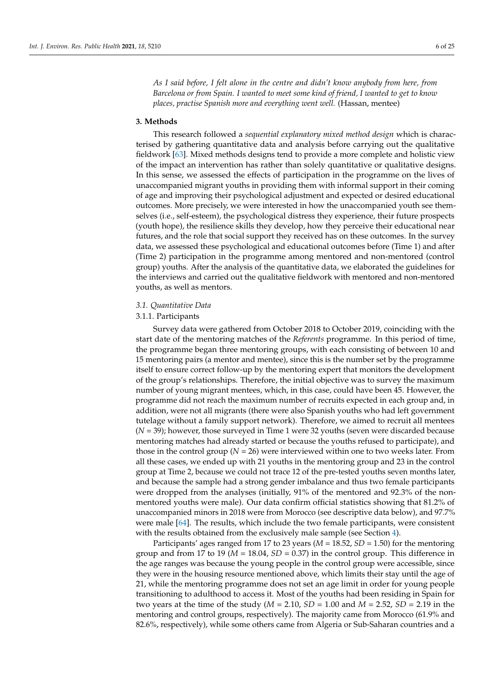*As I said before, I felt alone in the centre and didn't know anybody from here, from Barcelona or from Spain. I wanted to meet some kind of friend, I wanted to get to know places, practise Spanish more and everything went well.* (Hassan, mentee)

## **3. Methods**

This research followed a *sequential explanatory mixed method design* which is characterised by gathering quantitative data and analysis before carrying out the qualitative fieldwork [\[63\]](#page-23-14). Mixed methods designs tend to provide a more complete and holistic view of the impact an intervention has rather than solely quantitative or qualitative designs. In this sense, we assessed the effects of participation in the programme on the lives of unaccompanied migrant youths in providing them with informal support in their coming of age and improving their psychological adjustment and expected or desired educational outcomes. More precisely, we were interested in how the unaccompanied youth see themselves (i.e., self-esteem), the psychological distress they experience, their future prospects (youth hope), the resilience skills they develop, how they perceive their educational near futures, and the role that social support they received has on these outcomes. In the survey data, we assessed these psychological and educational outcomes before (Time 1) and after (Time 2) participation in the programme among mentored and non-mentored (control group) youths. After the analysis of the quantitative data, we elaborated the guidelines for the interviews and carried out the qualitative fieldwork with mentored and non-mentored youths, as well as mentors.

## *3.1. Quantitative Data*

## 3.1.1. Participants

Survey data were gathered from October 2018 to October 2019, coinciding with the start date of the mentoring matches of the *Referents* programme. In this period of time, the programme began three mentoring groups, with each consisting of between 10 and 15 mentoring pairs (a mentor and mentee), since this is the number set by the programme itself to ensure correct follow-up by the mentoring expert that monitors the development of the group's relationships. Therefore, the initial objective was to survey the maximum number of young migrant mentees, which, in this case, could have been 45. However, the programme did not reach the maximum number of recruits expected in each group and, in addition, were not all migrants (there were also Spanish youths who had left government tutelage without a family support network). Therefore, we aimed to recruit all mentees (*N* = 39); however, those surveyed in Time 1 were 32 youths (seven were discarded because mentoring matches had already started or because the youths refused to participate), and those in the control group  $(N = 26)$  were interviewed within one to two weeks later. From all these cases, we ended up with 21 youths in the mentoring group and 23 in the control group at Time 2, because we could not trace 12 of the pre-tested youths seven months later, and because the sample had a strong gender imbalance and thus two female participants were dropped from the analyses (initially, 91% of the mentored and 92.3% of the nonmentored youths were male). Our data confirm official statistics showing that 81.2% of unaccompanied minors in 2018 were from Morocco (see descriptive data below), and 97.7% were male [\[64\]](#page-23-15). The results, which include the two female participants, were consistent with the results obtained from the exclusively male sample (see Section [4\)](#page-9-0).

Participants' ages ranged from 17 to 23 years (*M* = 18.52, *SD* = 1.50) for the mentoring group and from 17 to 19 ( $M = 18.04$ ,  $SD = 0.37$ ) in the control group. This difference in the age ranges was because the young people in the control group were accessible, since they were in the housing resource mentioned above, which limits their stay until the age of 21, while the mentoring programme does not set an age limit in order for young people transitioning to adulthood to access it. Most of the youths had been residing in Spain for two years at the time of the study (*M* = 2.10, *SD* = 1.00 and *M* = 2.52, *SD* = 2.19 in the mentoring and control groups, respectively). The majority came from Morocco (61.9% and 82.6%, respectively), while some others came from Algeria or Sub-Saharan countries and a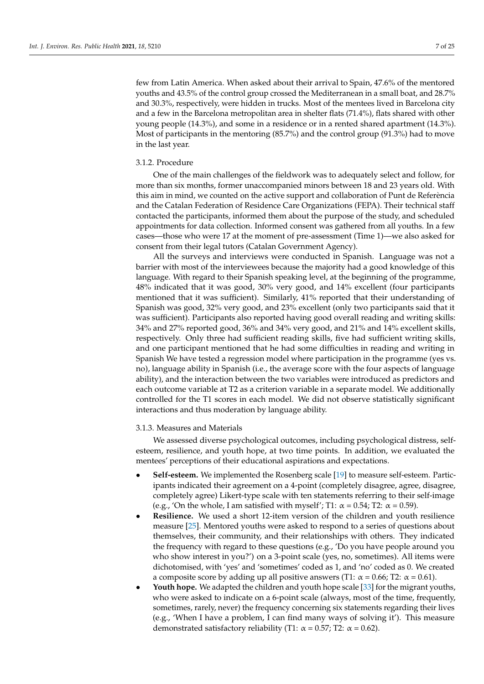few from Latin America. When asked about their arrival to Spain, 47.6% of the mentored youths and 43.5% of the control group crossed the Mediterranean in a small boat, and 28.7% and 30.3%, respectively, were hidden in trucks. Most of the mentees lived in Barcelona city and a few in the Barcelona metropolitan area in shelter flats (71.4%), flats shared with other young people (14.3%), and some in a residence or in a rented shared apartment (14.3%). Most of participants in the mentoring (85.7%) and the control group (91.3%) had to move in the last year.

# 3.1.2. Procedure

One of the main challenges of the fieldwork was to adequately select and follow, for more than six months, former unaccompanied minors between 18 and 23 years old. With this aim in mind, we counted on the active support and collaboration of Punt de Referència and the Catalan Federation of Residence Care Organizations (FEPA). Their technical staff contacted the participants, informed them about the purpose of the study, and scheduled appointments for data collection. Informed consent was gathered from all youths. In a few cases—those who were 17 at the moment of pre-assessment (Time 1)—we also asked for consent from their legal tutors (Catalan Government Agency).

All the surveys and interviews were conducted in Spanish. Language was not a barrier with most of the interviewees because the majority had a good knowledge of this language. With regard to their Spanish speaking level, at the beginning of the programme, 48% indicated that it was good, 30% very good, and 14% excellent (four participants mentioned that it was sufficient). Similarly, 41% reported that their understanding of Spanish was good, 32% very good, and 23% excellent (only two participants said that it was sufficient). Participants also reported having good overall reading and writing skills: 34% and 27% reported good, 36% and 34% very good, and 21% and 14% excellent skills, respectively. Only three had sufficient reading skills, five had sufficient writing skills, and one participant mentioned that he had some difficulties in reading and writing in Spanish We have tested a regression model where participation in the programme (yes vs. no), language ability in Spanish (i.e., the average score with the four aspects of language ability), and the interaction between the two variables were introduced as predictors and each outcome variable at T2 as a criterion variable in a separate model. We additionally controlled for the T1 scores in each model. We did not observe statistically significant interactions and thus moderation by language ability.

#### 3.1.3. Measures and Materials

We assessed diverse psychological outcomes, including psychological distress, selfesteem, resilience, and youth hope, at two time points. In addition, we evaluated the mentees' perceptions of their educational aspirations and expectations.

- **Self-esteem.** We implemented the Rosenberg scale [\[19\]](#page-22-0) to measure self-esteem. Participants indicated their agreement on a 4-point (completely disagree, agree, disagree, completely agree) Likert-type scale with ten statements referring to their self-image (e.g., 'On the whole, I am satisfied with myself'; T1:  $\alpha$  = 0.54; T2:  $\alpha$  = 0.59).
- **Resilience.** We used a short 12-item version of the children and youth resilience measure [\[25\]](#page-22-6). Mentored youths were asked to respond to a series of questions about themselves, their community, and their relationships with others. They indicated the frequency with regard to these questions (e.g., 'Do you have people around you who show interest in you?') on a 3-point scale (yes, no, sometimes). All items were dichotomised, with 'yes' and 'sometimes' coded as 1, and 'no' coded as 0. We created a composite score by adding up all positive answers (T1:  $\alpha$  = 0.66; T2:  $\alpha$  = 0.61).
- **Youth hope.** We adapted the children and youth hope scale [\[33\]](#page-22-13) for the migrant youths, who were asked to indicate on a 6-point scale (always, most of the time, frequently, sometimes, rarely, never) the frequency concerning six statements regarding their lives (e.g., 'When I have a problem, I can find many ways of solving it'). This measure demonstrated satisfactory reliability (T1:  $\alpha$  = 0.57; T2:  $\alpha$  = 0.62).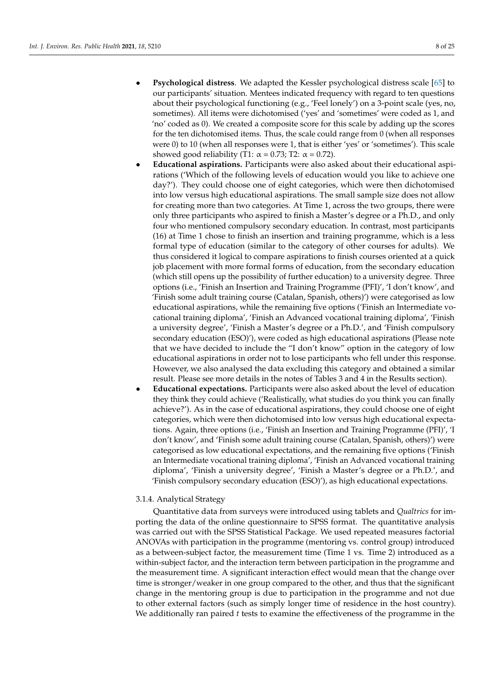- **Psychological distress**. We adapted the Kessler psychological distress scale [\[65\]](#page-23-16) to our participants' situation. Mentees indicated frequency with regard to ten questions about their psychological functioning (e.g., 'Feel lonely') on a 3-point scale (yes, no, sometimes). All items were dichotomised ('yes' and 'sometimes' were coded as 1, and 'no' coded as 0). We created a composite score for this scale by adding up the scores for the ten dichotomised items. Thus, the scale could range from 0 (when all responses were 0) to 10 (when all responses were 1, that is either 'yes' or 'sometimes'). This scale showed good reliability (T1:  $\alpha = 0.73$ ; T2:  $\alpha = 0.72$ ).
- **Educational aspirations.** Participants were also asked about their educational aspirations ('Which of the following levels of education would you like to achieve one day?'). They could choose one of eight categories, which were then dichotomised into low versus high educational aspirations. The small sample size does not allow for creating more than two categories. At Time 1, across the two groups, there were only three participants who aspired to finish a Master's degree or a Ph.D., and only four who mentioned compulsory secondary education. In contrast, most participants (16) at Time 1 chose to finish an insertion and training programme, which is a less formal type of education (similar to the category of other courses for adults). We thus considered it logical to compare aspirations to finish courses oriented at a quick job placement with more formal forms of education, from the secondary education (which still opens up the possibility of further education) to a university degree. Three options (i.e., 'Finish an Insertion and Training Programme (PFI)', 'I don't know', and 'Finish some adult training course (Catalan, Spanish, others)') were categorised as low educational aspirations, while the remaining five options ('Finish an Intermediate vocational training diploma', 'Finish an Advanced vocational training diploma', 'Finish a university degree', 'Finish a Master's degree or a Ph.D.', and 'Finish compulsory secondary education (ESO)'), were coded as high educational aspirations (Please note that we have decided to include the "I don't know" option in the category of low educational aspirations in order not to lose participants who fell under this response. However, we also analysed the data excluding this category and obtained a similar result. Please see more details in the notes of Tables 3 and 4 in the Results section).
- **Educational expectations.** Participants were also asked about the level of education they think they could achieve ('Realistically, what studies do you think you can finally achieve?'). As in the case of educational aspirations, they could choose one of eight categories, which were then dichotomised into low versus high educational expectations. Again, three options (i.e., 'Finish an Insertion and Training Programme (PFI)', 'I don't know', and 'Finish some adult training course (Catalan, Spanish, others)') were categorised as low educational expectations, and the remaining five options ('Finish an Intermediate vocational training diploma', 'Finish an Advanced vocational training diploma', 'Finish a university degree', 'Finish a Master's degree or a Ph.D.', and 'Finish compulsory secondary education (ESO)'), as high educational expectations.

# 3.1.4. Analytical Strategy

Quantitative data from surveys were introduced using tablets and *Qualtrics* for importing the data of the online questionnaire to SPSS format. The quantitative analysis was carried out with the SPSS Statistical Package. We used repeated measures factorial ANOVAs with participation in the programme (mentoring vs. control group) introduced as a between-subject factor, the measurement time (Time 1 vs. Time 2) introduced as a within-subject factor, and the interaction term between participation in the programme and the measurement time. A significant interaction effect would mean that the change over time is stronger/weaker in one group compared to the other, and thus that the significant change in the mentoring group is due to participation in the programme and not due to other external factors (such as simply longer time of residence in the host country). We additionally ran paired *t* tests to examine the effectiveness of the programme in the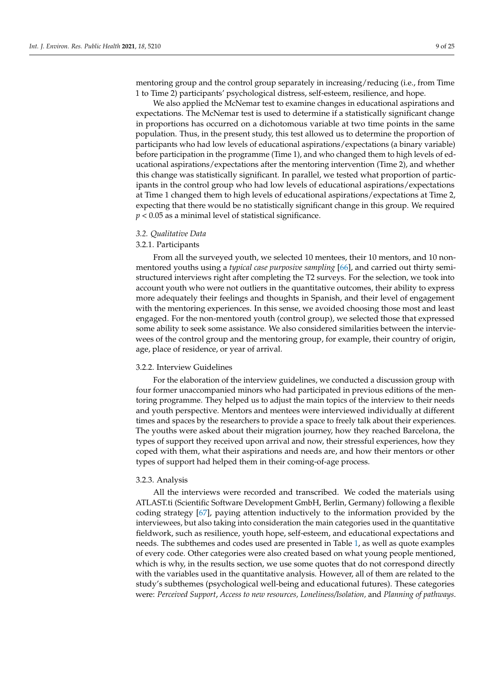mentoring group and the control group separately in increasing/reducing (i.e., from Time 1 to Time 2) participants' psychological distress, self-esteem, resilience, and hope.

We also applied the McNemar test to examine changes in educational aspirations and expectations. The McNemar test is used to determine if a statistically significant change in proportions has occurred on a dichotomous variable at two time points in the same population. Thus, in the present study, this test allowed us to determine the proportion of participants who had low levels of educational aspirations/expectations (a binary variable) before participation in the programme (Time 1), and who changed them to high levels of educational aspirations/expectations after the mentoring intervention (Time 2), and whether this change was statistically significant. In parallel, we tested what proportion of participants in the control group who had low levels of educational aspirations/expectations at Time 1 changed them to high levels of educational aspirations/expectations at Time 2, expecting that there would be no statistically significant change in this group. We required *p* < 0.05 as a minimal level of statistical significance.

#### *3.2. Qualitative Data*

# 3.2.1. Participants

From all the surveyed youth, we selected 10 mentees, their 10 mentors, and 10 nonmentored youths using a *typical case purposive sampling* [\[66\]](#page-23-17), and carried out thirty semistructured interviews right after completing the T2 surveys. For the selection, we took into account youth who were not outliers in the quantitative outcomes, their ability to express more adequately their feelings and thoughts in Spanish, and their level of engagement with the mentoring experiences. In this sense, we avoided choosing those most and least engaged. For the non-mentored youth (control group), we selected those that expressed some ability to seek some assistance. We also considered similarities between the interviewees of the control group and the mentoring group, for example, their country of origin, age, place of residence, or year of arrival.

## 3.2.2. Interview Guidelines

For the elaboration of the interview guidelines, we conducted a discussion group with four former unaccompanied minors who had participated in previous editions of the mentoring programme. They helped us to adjust the main topics of the interview to their needs and youth perspective. Mentors and mentees were interviewed individually at different times and spaces by the researchers to provide a space to freely talk about their experiences. The youths were asked about their migration journey, how they reached Barcelona, the types of support they received upon arrival and now, their stressful experiences, how they coped with them, what their aspirations and needs are, and how their mentors or other types of support had helped them in their coming-of-age process.

#### 3.2.3. Analysis

All the interviews were recorded and transcribed. We coded the materials using ATLAST.ti (Scientific Software Development GmbH, Berlin, Germany) following a flexible coding strategy [\[67\]](#page-23-18), paying attention inductively to the information provided by the interviewees, but also taking into consideration the main categories used in the quantitative fieldwork, such as resilience, youth hope, self-esteem, and educational expectations and needs. The subthemes and codes used are presented in Table [1,](#page-9-1) as well as quote examples of every code. Other categories were also created based on what young people mentioned, which is why, in the results section, we use some quotes that do not correspond directly with the variables used in the quantitative analysis. However, all of them are related to the study's subthemes (psychological well-being and educational futures). These categories were: *Perceived Support*, *Access to new resources, Loneliness/Isolation,* and *Planning of pathways*.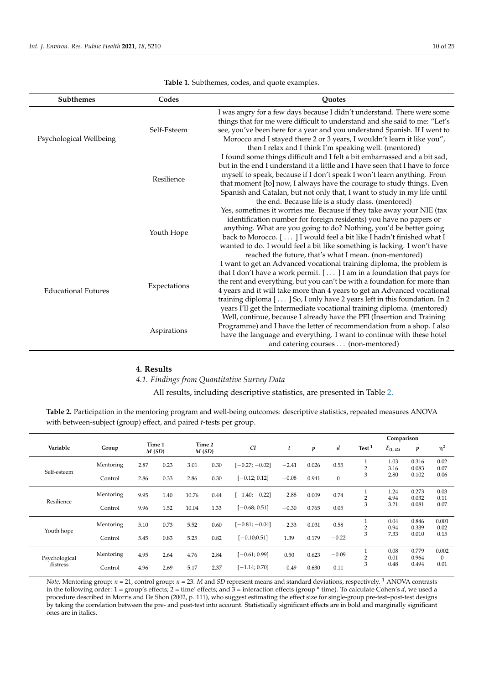<span id="page-9-1"></span>

| <b>Subthemes</b>           | Codes        | <b>Quotes</b>                                                                                                                                                                                                                                                                                                                                                                                                                                                    |
|----------------------------|--------------|------------------------------------------------------------------------------------------------------------------------------------------------------------------------------------------------------------------------------------------------------------------------------------------------------------------------------------------------------------------------------------------------------------------------------------------------------------------|
| Psychological Wellbeing    | Self-Esteem  | I was angry for a few days because I didn't understand. There were some<br>things that for me were difficult to understand and she said to me: "Let's<br>see, you've been here for a year and you understand Spanish. If I went to<br>Morocco and I stayed there 2 or 3 years, I wouldn't learn it like you",<br>then I relax and I think I'm speaking well. (mentored)                                                                                          |
|                            | Resilience   | I found some things difficult and I felt a bit embarrassed and a bit sad,<br>but in the end I understand it a little and I have seen that I have to force<br>myself to speak, because if I don't speak I won't learn anything. From<br>that moment [to] now, I always have the courage to study things. Even<br>Spanish and Catalan, but not only that, I want to study in my life until<br>the end. Because life is a study class. (mentored)                   |
|                            | Youth Hope   | Yes, sometimes it worries me. Because if they take away your NIE (tax<br>identification number for foreign residents) you have no papers or<br>anything. What are you going to do? Nothing, you'd be better going<br>back to Morocco. [] I would feel a bit like I hadn't finished what I<br>wanted to do. I would feel a bit like something is lacking. I won't have<br>reached the future, that's what I mean. (non-mentored)                                  |
| <b>Educational Futures</b> | Expectations | I want to get an Advanced vocational training diploma, the problem is<br>that I don't have a work permit. [] I am in a foundation that pays for<br>the rent and everything, but you can't be with a foundation for more than<br>4 years and it will take more than 4 years to get an Advanced vocational<br>training diploma [] So, I only have 2 years left in this foundation. In 2<br>years I'll get the Intermediate vocational training diploma. (mentored) |
|                            | Aspirations  | Well, continue, because I already have the PFI (Insertion and Training<br>Programme) and I have the letter of recommendation from a shop. I also<br>have the language and everything. I want to continue with these hotel<br>and catering courses (non-mentored)                                                                                                                                                                                                 |

**Table 1.** Subthemes, codes, and quote examples.

# <span id="page-9-0"></span>**4. Results**

# *4.1. Findings from Quantitative Survey Data*

All results, including descriptive statistics, are presented in Table [2.](#page-9-2)

<span id="page-9-2"></span>**Table 2.** Participation in the mentoring program and well-being outcomes: descriptive statistics, repeated measures ANOVA with between-subject (group) effect, and paired *t*-tests per group.

|                           |           |      |                 |       |                 |                  |         |                  |              | Comparison          |               |                  |                       |
|---------------------------|-----------|------|-----------------|-------|-----------------|------------------|---------|------------------|--------------|---------------------|---------------|------------------|-----------------------|
| Variable                  | Group     |      | Time 1<br>M(SD) |       | Time 2<br>M(SD) | CI               | t       | $\boldsymbol{p}$ | d            | Test <sup>1</sup>   | $F_{(1, 42)}$ | $\boldsymbol{p}$ | $\eta^2$              |
| Self-esteem               | Mentoring | 2.87 | 0.23            | 3.01  | 0.30            | $[-0.27; -0.02]$ | $-2.41$ | 0.026            | 0.55         | $\overline{2}$      | 1.03<br>3.16  | 0.316<br>0.083   | 0.02<br>0.07          |
|                           | Control   | 2.86 | 0.33            | 2.86  | 0.30            | $[-0.12; 0.12]$  | $-0.08$ | 0.941            | $\mathbf{0}$ | 3                   | 2.80          | 0.102            | 0.06                  |
| Resilience                | Mentoring | 9.95 | 1.40            | 10.76 | 0.44            | $[-1.40; -0.22]$ | $-2.88$ | 0.009            | 0.74         | и<br>$\overline{2}$ | 1.24<br>4.94  | 0.273<br>0.032   | 0.03<br>0.11          |
|                           | Control   | 9.96 | 1.52            | 10.04 | 1.33            | $[-0.68; 0.51]$  | $-0.30$ | 0.765            | 0.05         | 3                   | 3.21          | 0.081            | 0.07                  |
| Youth hope                | Mentoring | 5.10 | 0.73            | 5.52  | 0.60            | $[-0.81; -0.04]$ | $-2.33$ | 0.031            | 0.58         | $\overline{2}$      | 0.04<br>0.94  | 0.846<br>0.339   | 0.001<br>0.02         |
|                           | Control   | 5.45 | 0.83            | 5.25  | 0.82            | $[-0.10; 0.51]$  | 1.39    | 0.179            | $-0.22$      | 3                   | 7.33          | 0.010            | 0.15                  |
| Psychological<br>distress | Mentoring | 4.95 | 2.64            | 4.76  | 2.84            | $[-0.61; 0.99]$  | 0.50    | 0.623            | $-0.09$      | C                   | 0.08<br>0.01  | 0.779<br>0.964   | 0.002<br>$\mathbf{0}$ |
|                           | Control   | 4.96 | 2.69            | 5.17  | 2.37            | $[-1.14; 0.70]$  | $-0.49$ | 0.630            | 0.11         | 3                   | 0.48          | 0.494            | 0.01                  |

*Note.* Mentoring group:  $n = 21$ , control group:  $n = 23$ . *M* and *SD* represent means and standard deviations, respectively. <sup>1</sup> ANOVA contrasts in the following order: 1 = group's effects; 2 = time' effects; and 3 = interaction effects (group \* time). To calculate Cohen's *d*, we used a procedure described in Morris and De Shon (2002, p. 111), who suggest estimating the effect size for single-group pre-test–post-test designs by taking the correlation between the pre- and post-test into account. Statistically significant effects are in bold and marginally significant ones are in italics.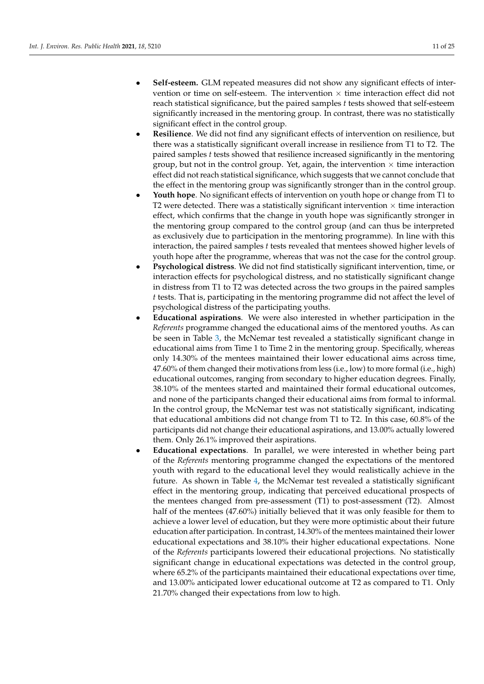- **Self-esteem.** GLM repeated measures did not show any significant effects of intervention or time on self-esteem. The intervention  $\times$  time interaction effect did not reach statistical significance, but the paired samples *t* tests showed that self-esteem significantly increased in the mentoring group. In contrast, there was no statistically significant effect in the control group.
- **Resilience**. We did not find any significant effects of intervention on resilience, but there was a statistically significant overall increase in resilience from T1 to T2. The paired samples *t* tests showed that resilience increased significantly in the mentoring group, but not in the control group. Yet, again, the intervention  $\times$  time interaction effect did not reach statistical significance, which suggests that we cannot conclude that the effect in the mentoring group was significantly stronger than in the control group.
- **Youth hope**. No significant effects of intervention on youth hope or change from T1 to T2 were detected. There was a statistically significant intervention  $\times$  time interaction effect, which confirms that the change in youth hope was significantly stronger in the mentoring group compared to the control group (and can thus be interpreted as exclusively due to participation in the mentoring programme). In line with this interaction, the paired samples *t* tests revealed that mentees showed higher levels of youth hope after the programme, whereas that was not the case for the control group.
- **Psychological distress**. We did not find statistically significant intervention, time, or interaction effects for psychological distress, and no statistically significant change in distress from T1 to T2 was detected across the two groups in the paired samples *t* tests. That is, participating in the mentoring programme did not affect the level of psychological distress of the participating youths.
- **Educational aspirations**. We were also interested in whether participation in the *Referents* programme changed the educational aims of the mentored youths. As can be seen in Table [3,](#page-11-0) the McNemar test revealed a statistically significant change in educational aims from Time 1 to Time 2 in the mentoring group. Specifically, whereas only 14.30% of the mentees maintained their lower educational aims across time, 47.60% of them changed their motivations from less (i.e., low) to more formal (i.e., high) educational outcomes, ranging from secondary to higher education degrees. Finally, 38.10% of the mentees started and maintained their formal educational outcomes, and none of the participants changed their educational aims from formal to informal. In the control group, the McNemar test was not statistically significant, indicating that educational ambitions did not change from T1 to T2. In this case, 60.8% of the participants did not change their educational aspirations, and 13.00% actually lowered them. Only 26.1% improved their aspirations.
- **Educational expectations**. In parallel, we were interested in whether being part of the *Referents* mentoring programme changed the expectations of the mentored youth with regard to the educational level they would realistically achieve in the future. As shown in Table [4,](#page-11-1) the McNemar test revealed a statistically significant effect in the mentoring group, indicating that perceived educational prospects of the mentees changed from pre-assessment (T1) to post-assessment (T2). Almost half of the mentees (47.60%) initially believed that it was only feasible for them to achieve a lower level of education, but they were more optimistic about their future education after participation. In contrast, 14.30% of the mentees maintained their lower educational expectations and 38.10% their higher educational expectations. None of the *Referents* participants lowered their educational projections. No statistically significant change in educational expectations was detected in the control group, where 65.2% of the participants maintained their educational expectations over time, and 13.00% anticipated lower educational outcome at T2 as compared to T1. Only 21.70% changed their expectations from low to high.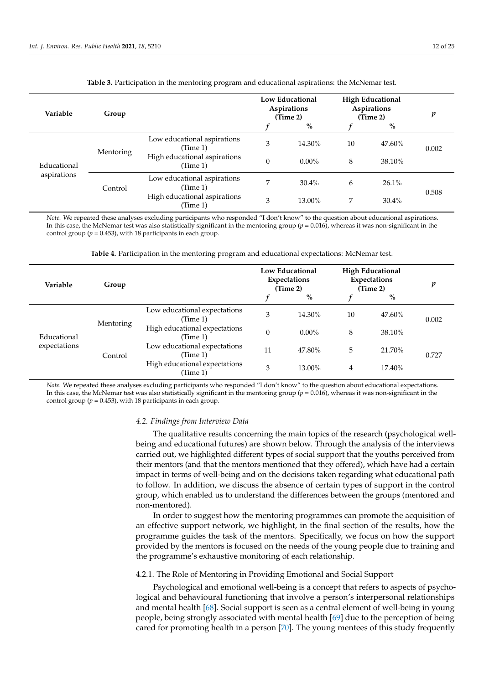<span id="page-11-0"></span>

| Variable                   | Group     |                                          | Low Educational<br>Aspirations<br>(Time 2) |          | <b>High Educational</b><br>Aspirations<br>(Time 2) | v      |       |  |
|----------------------------|-----------|------------------------------------------|--------------------------------------------|----------|----------------------------------------------------|--------|-------|--|
|                            |           |                                          |                                            | $\%$     |                                                    | $\%$   |       |  |
| Educational<br>aspirations | Mentoring | Low educational aspirations<br>(Time 1)  | 3                                          | 14.30%   | 10                                                 | 47.60% | 0.002 |  |
|                            |           | High educational aspirations<br>(Time 1) | $\Omega$                                   | $0.00\%$ | 8                                                  | 38.10% |       |  |
|                            | Control   | Low educational aspirations<br>(Time 1)  | 7                                          | $30.4\%$ | 6                                                  | 26.1%  |       |  |
|                            |           | High educational aspirations<br>(Time 1) | 3                                          | 13.00%   | 7                                                  | 30.4%  | 0.508 |  |

**Table 3.** Participation in the mentoring program and educational aspirations: the McNemar test.

*Note.* We repeated these analyses excluding participants who responded "I don't know" to the question about educational aspirations. In this case, the McNemar test was also statistically significant in the mentoring group ( $p = 0.016$ ), whereas it was non-significant in the control group ( $p = 0.453$ ), with 18 participants in each group.

**Table 4.** Participation in the mentoring program and educational expectations: McNemar test.

<span id="page-11-1"></span>

| Variable                    | Group     |                                           | <b>Low Educational</b><br><b>Expectations</b><br>(Time 2) |          | <b>High Educational</b><br><b>Expectations</b><br>(Time 2) | p      |       |  |
|-----------------------------|-----------|-------------------------------------------|-----------------------------------------------------------|----------|------------------------------------------------------------|--------|-------|--|
|                             |           |                                           |                                                           | $\%$     |                                                            | $\%$   |       |  |
| Educational<br>expectations | Mentoring | Low educational expectations<br>(Time 1)  | 3                                                         | 14.30%   | 10                                                         | 47.60% | 0.002 |  |
|                             |           | High educational expectations<br>(Time 1) | $\Omega$                                                  | $0.00\%$ | 8                                                          | 38.10% |       |  |
|                             | Control   | Low educational expectations<br>(Time 1)  | 11                                                        | 47.80%   | 5                                                          | 21.70% | 0.727 |  |
|                             |           | High educational expectations<br>(Time 1) | 3                                                         | 13.00%   | 4                                                          | 17.40% |       |  |

*Note.* We repeated these analyses excluding participants who responded "I don't know" to the question about educational expectations. In this case, the McNemar test was also statistically significant in the mentoring group ( $p = 0.016$ ), whereas it was non-significant in the control group ( $p = 0.453$ ), with 18 participants in each group.

## *4.2. Findings from Interview Data*

The qualitative results concerning the main topics of the research (psychological wellbeing and educational futures) are shown below. Through the analysis of the interviews carried out, we highlighted different types of social support that the youths perceived from their mentors (and that the mentors mentioned that they offered), which have had a certain impact in terms of well-being and on the decisions taken regarding what educational path to follow. In addition, we discuss the absence of certain types of support in the control group, which enabled us to understand the differences between the groups (mentored and non-mentored).

In order to suggest how the mentoring programmes can promote the acquisition of an effective support network, we highlight, in the final section of the results, how the programme guides the task of the mentors. Specifically, we focus on how the support provided by the mentors is focused on the needs of the young people due to training and the programme's exhaustive monitoring of each relationship.

# 4.2.1. The Role of Mentoring in Providing Emotional and Social Support

Psychological and emotional well-being is a concept that refers to aspects of psychological and behavioural functioning that involve a person's interpersonal relationships and mental health [\[68\]](#page-23-19). Social support is seen as a central element of well-being in young people, being strongly associated with mental health [\[69\]](#page-23-20) due to the perception of being cared for promoting health in a person [\[70\]](#page-23-21). The young mentees of this study frequently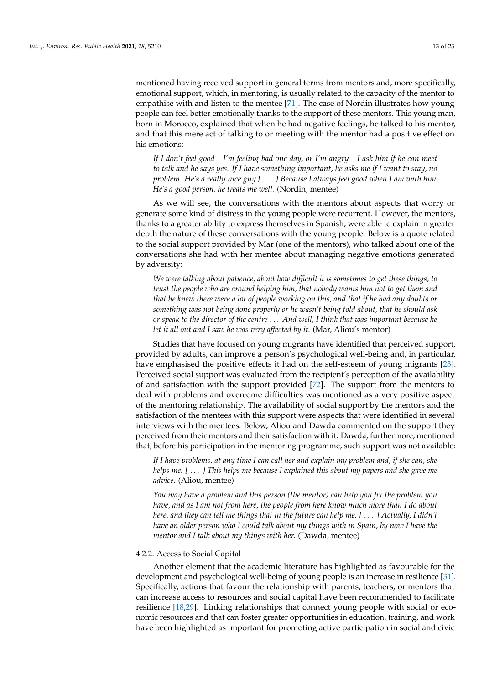mentioned having received support in general terms from mentors and, more specifically, emotional support, which, in mentoring, is usually related to the capacity of the mentor to empathise with and listen to the mentee [\[71\]](#page-23-22). The case of Nordin illustrates how young people can feel better emotionally thanks to the support of these mentors. This young man, born in Morocco, explained that when he had negative feelings, he talked to his mentor, and that this mere act of talking to or meeting with the mentor had a positive effect on his emotions:

*If I don't feel good—I'm feeling bad one day, or I'm angry—I ask him if he can meet to talk and he says yes. If I have something important, he asks me if I want to stay, no problem. He's a really nice guy [* . . . *] Because I always feel good when I am with him. He's a good person, he treats me well.* (Nordin, mentee)

As we will see, the conversations with the mentors about aspects that worry or generate some kind of distress in the young people were recurrent. However, the mentors, thanks to a greater ability to express themselves in Spanish, were able to explain in greater depth the nature of these conversations with the young people. Below is a quote related to the social support provided by Mar (one of the mentors), who talked about one of the conversations she had with her mentee about managing negative emotions generated by adversity:

*We were talking about patience, about how difficult it is sometimes to get these things, to trust the people who are around helping him, that nobody wants him not to get them and that he knew there were a lot of people working on this, and that if he had any doubts or something was not being done properly or he wasn't being told about, that he should ask or speak to the director of the centre* . . . *And well, I think that was important because he let it all out and I saw he was very affected by it.* (Mar, Aliou's mentor)

Studies that have focused on young migrants have identified that perceived support, provided by adults, can improve a person's psychological well-being and, in particular, have emphasised the positive effects it had on the self-esteem of young migrants [\[23\]](#page-22-4). Perceived social support was evaluated from the recipient's perception of the availability of and satisfaction with the support provided [\[72\]](#page-23-23). The support from the mentors to deal with problems and overcome difficulties was mentioned as a very positive aspect of the mentoring relationship. The availability of social support by the mentors and the satisfaction of the mentees with this support were aspects that were identified in several interviews with the mentees. Below, Aliou and Dawda commented on the support they perceived from their mentors and their satisfaction with it. Dawda, furthermore, mentioned that, before his participation in the mentoring programme, such support was not available:

*If I have problems, at any time I can call her and explain my problem and, if she can, she helps me. [* . . . *] This helps me because I explained this about my papers and she gave me advice.* (Aliou, mentee)

*You may have a problem and this person (the mentor) can help you fix the problem you have, and as I am not from here, the people from here know much more than I do about here, and they can tell me things that in the future can help me. [* . . . *] Actually, I didn't have an older person who I could talk about my things with in Spain, by now I have the mentor and I talk about my things with her.* (Dawda, mentee)

## 4.2.2. Access to Social Capital

Another element that the academic literature has highlighted as favourable for the development and psychological well-being of young people is an increase in resilience [\[31\]](#page-22-11). Specifically, actions that favour the relationship with parents, teachers, or mentors that can increase access to resources and social capital have been recommended to facilitate resilience [\[18,](#page-21-17)[29\]](#page-22-9). Linking relationships that connect young people with social or economic resources and that can foster greater opportunities in education, training, and work have been highlighted as important for promoting active participation in social and civic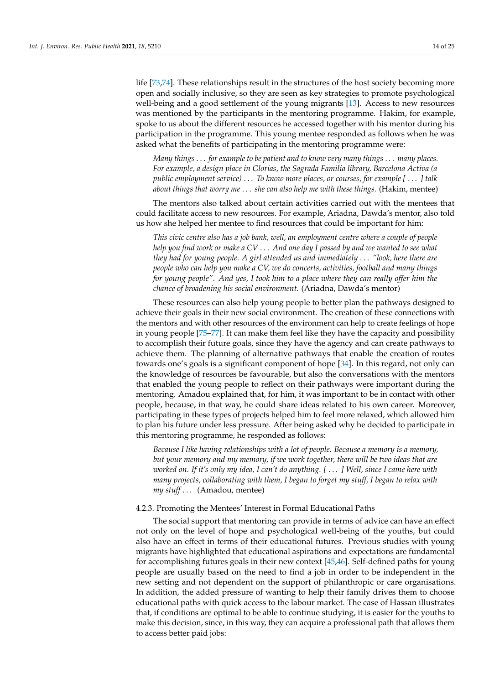life [\[73,](#page-23-24)[74\]](#page-23-25). These relationships result in the structures of the host society becoming more open and socially inclusive, so they are seen as key strategies to promote psychological well-being and a good settlement of the young migrants [\[13\]](#page-21-12). Access to new resources was mentioned by the participants in the mentoring programme. Hakim, for example, spoke to us about the different resources he accessed together with his mentor during his participation in the programme. This young mentee responded as follows when he was asked what the benefits of participating in the mentoring programme were:

*Many things* . . . *for example to be patient and to know very many things* . . . *many places. For example, a design place in Glorias, the Sagrada Familia library, Barcelona Activa (a public employment service)* . . . *To know more places, or courses, for example [* . . . *] talk about things that worry me* . . . *she can also help me with these things.* (Hakim, mentee)

The mentors also talked about certain activities carried out with the mentees that could facilitate access to new resources. For example, Ariadna, Dawda's mentor, also told us how she helped her mentee to find resources that could be important for him:

*This civic centre also has a job bank, well, an employment centre where a couple of people help you find work or make a CV* . . . *And one day I passed by and we wanted to see what they had for young people. A girl attended us and immediately* . . . *"look, here there are people who can help you make a CV, we do concerts, activities, football and many things for young people". And yes, I took him to a place where they can really offer him the chance of broadening his social environment.* (Ariadna, Dawda's mentor)

These resources can also help young people to better plan the pathways designed to achieve their goals in their new social environment. The creation of these connections with the mentors and with other resources of the environment can help to create feelings of hope in young people [\[75–](#page-23-26)[77\]](#page-24-0). It can make them feel like they have the capacity and possibility to accomplish their future goals, since they have the agency and can create pathways to achieve them. The planning of alternative pathways that enable the creation of routes towards one's goals is a significant component of hope [\[34\]](#page-22-14). In this regard, not only can the knowledge of resources be favourable, but also the conversations with the mentors that enabled the young people to reflect on their pathways were important during the mentoring. Amadou explained that, for him, it was important to be in contact with other people, because, in that way, he could share ideas related to his own career. Moreover, participating in these types of projects helped him to feel more relaxed, which allowed him to plan his future under less pressure. After being asked why he decided to participate in this mentoring programme, he responded as follows:

*Because I like having relationships with a lot of people. Because a memory is a memory, but your memory and my memory, if we work together, there will be two ideas that are worked on. If it's only my idea, I can't do anything. [* . . . *] Well, since I came here with many projects, collaborating with them, I began to forget my stuff, I began to relax with my stuff* . . . (Amadou, mentee)

#### 4.2.3. Promoting the Mentees' Interest in Formal Educational Paths

The social support that mentoring can provide in terms of advice can have an effect not only on the level of hope and psychological well-being of the youths, but could also have an effect in terms of their educational futures. Previous studies with young migrants have highlighted that educational aspirations and expectations are fundamental for accomplishing futures goals in their new context [\[45,](#page-22-25)[46\]](#page-22-26). Self-defined paths for young people are usually based on the need to find a job in order to be independent in the new setting and not dependent on the support of philanthropic or care organisations. In addition, the added pressure of wanting to help their family drives them to choose educational paths with quick access to the labour market. The case of Hassan illustrates that, if conditions are optimal to be able to continue studying, it is easier for the youths to make this decision, since, in this way, they can acquire a professional path that allows them to access better paid jobs: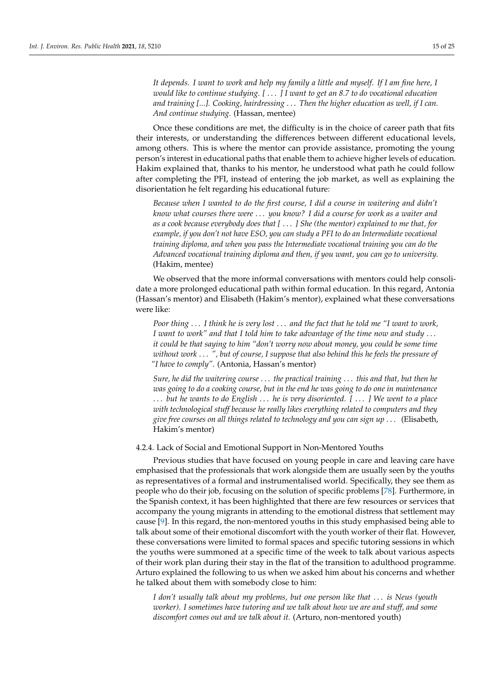*It depends. I want to work and help my family a little and myself. If I am fine here, I would like to continue studying. [* . . . *] I want to get an 8.7 to do vocational education and training [...]. Cooking, hairdressing* . . . *Then the higher education as well, if I can. And continue studying.* (Hassan, mentee)

Once these conditions are met, the difficulty is in the choice of career path that fits their interests, or understanding the differences between different educational levels, among others. This is where the mentor can provide assistance, promoting the young person's interest in educational paths that enable them to achieve higher levels of education. Hakim explained that, thanks to his mentor, he understood what path he could follow after completing the PFI, instead of entering the job market, as well as explaining the disorientation he felt regarding his educational future:

*Because when I wanted to do the first course, I did a course in waitering and didn't know what courses there were* . . . *you know? I did a course for work as a waiter and as a cook because everybody does that [* . . . *] She (the mentor) explained to me that, for example, if you don't not have ESO, you can study a PFI to do an Intermediate vocational training diploma, and when you pass the Intermediate vocational training you can do the Advanced vocational training diploma and then, if you want, you can go to university.* (Hakim, mentee)

We observed that the more informal conversations with mentors could help consolidate a more prolonged educational path within formal education. In this regard, Antonia (Hassan's mentor) and Elisabeth (Hakim's mentor), explained what these conversations were like:

*Poor thing* . . . *I think he is very lost* . . . *and the fact that he told me "I want to work, I want to work" and that I told him to take advantage of the time now and study* . . . *it could be that saying to him "don't worry now about money, you could be some time without work* . . . *", but of course, I suppose that also behind this he feels the pressure of "I have to comply".* (Antonia, Hassan's mentor)

*Sure, he did the waitering course* . . . *the practical training* . . . *this and that, but then he was going to do a cooking course, but in the end he was going to do one in maintenance* . . . *but he wants to do English* . . . *he is very disoriented. [* . . . *] We went to a place with technological stuff because he really likes everything related to computers and they give free courses on all things related to technology and you can sign up* . . . (Elisabeth, Hakim's mentor)

# 4.2.4. Lack of Social and Emotional Support in Non-Mentored Youths

Previous studies that have focused on young people in care and leaving care have emphasised that the professionals that work alongside them are usually seen by the youths as representatives of a formal and instrumentalised world. Specifically, they see them as people who do their job, focusing on the solution of specific problems [\[78\]](#page-24-1). Furthermore, in the Spanish context, it has been highlighted that there are few resources or services that accompany the young migrants in attending to the emotional distress that settlement may cause [\[9\]](#page-21-8). In this regard, the non-mentored youths in this study emphasised being able to talk about some of their emotional discomfort with the youth worker of their flat. However, these conversations were limited to formal spaces and specific tutoring sessions in which the youths were summoned at a specific time of the week to talk about various aspects of their work plan during their stay in the flat of the transition to adulthood programme. Arturo explained the following to us when we asked him about his concerns and whether he talked about them with somebody close to him:

*I don't usually talk about my problems, but one person like that* . . . *is Neus (youth worker). I sometimes have tutoring and we talk about how we are and stuff, and some discomfort comes out and we talk about it.* (Arturo, non-mentored youth)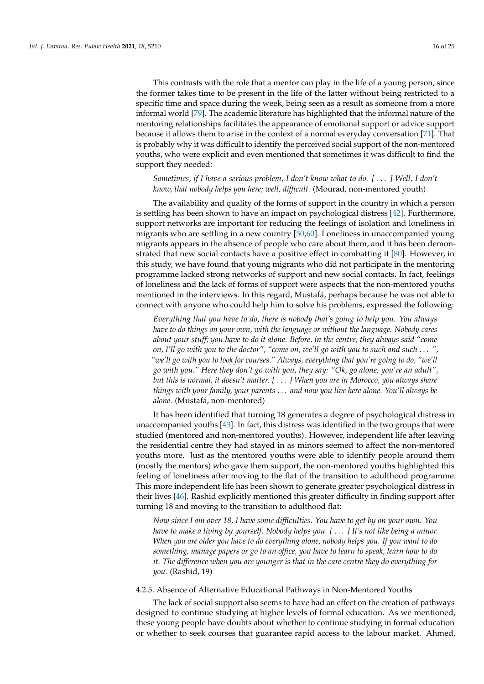This contrasts with the role that a mentor can play in the life of a young person, since the former takes time to be present in the life of the latter without being restricted to a specific time and space during the week, being seen as a result as someone from a more informal world [\[79\]](#page-24-2). The academic literature has highlighted that the informal nature of the mentoring relationships facilitates the appearance of emotional support or advice support because it allows them to arise in the context of a normal everyday conversation [\[71\]](#page-23-22). That is probably why it was difficult to identify the perceived social support of the non-mentored youths, who were explicit and even mentioned that sometimes it was difficult to find the support they needed:

# *Sometimes, if I have a serious problem, I don't know what to do. [* . . . *] Well, I don't know, that nobody helps you here; well, difficult.* (Mourad, non-mentored youth)

The availability and quality of the forms of support in the country in which a person is settling has been shown to have an impact on psychological distress [\[42\]](#page-22-22). Furthermore, support networks are important for reducing the feelings of isolation and loneliness in migrants who are settling in a new country [\[50](#page-23-2)[,60\]](#page-23-11). Loneliness in unaccompanied young migrants appears in the absence of people who care about them, and it has been demonstrated that new social contacts have a positive effect in combatting it [\[80\]](#page-24-3). However, in this study, we have found that young migrants who did not participate in the mentoring programme lacked strong networks of support and new social contacts. In fact, feelings of loneliness and the lack of forms of support were aspects that the non-mentored youths mentioned in the interviews. In this regard, Mustafá, perhaps because he was not able to connect with anyone who could help him to solve his problems, expressed the following:

*Everything that you have to do, there is nobody that's going to help you. You always have to do things on your own, with the language or without the language. Nobody cares about your stuff; you have to do it alone. Before, in the centre, they always said "come on, I'll go with you to the doctor", "come on, we'll go with you to such and such* . . . *", "we'll go with you to look for courses." Always, everything that you're going to do, "we'll go with you." Here they don't go with you, they say: "Ok, go alone, you're an adult", but this is normal, it doesn't matter. [* . . . *] When you are in Morocco, you always share things with your family, your parents* . . . *and now you live here alone. You'll always be alone.* (Mustafá, non-mentored)

It has been identified that turning 18 generates a degree of psychological distress in unaccompanied youths [\[43\]](#page-22-23). In fact, this distress was identified in the two groups that were studied (mentored and non-mentored youths). However, independent life after leaving the residential centre they had stayed in as minors seemed to affect the non-mentored youths more. Just as the mentored youths were able to identify people around them (mostly the mentors) who gave them support, the non-mentored youths highlighted this feeling of loneliness after moving to the flat of the transition to adulthood programme. This more independent life has been shown to generate greater psychological distress in their lives [\[46\]](#page-22-26). Rashid explicitly mentioned this greater difficulty in finding support after turning 18 and moving to the transition to adulthood flat:

*Now since I am over 18, I have some difficulties. You have to get by on your own. You have to make a living by yourself. Nobody helps you. [* . . . *] It's not like being a minor. When you are older you have to do everything alone, nobody helps you. If you want to do something, manage papers or go to an office, you have to learn to speak, learn how to do it. The difference when you are younger is that in the care centre they do everything for you.* (Rashid, 19)

4.2.5. Absence of Alternative Educational Pathways in Non-Mentored Youths

The lack of social support also seems to have had an effect on the creation of pathways designed to continue studying at higher levels of formal education. As we mentioned, these young people have doubts about whether to continue studying in formal education or whether to seek courses that guarantee rapid access to the labour market. Ahmed,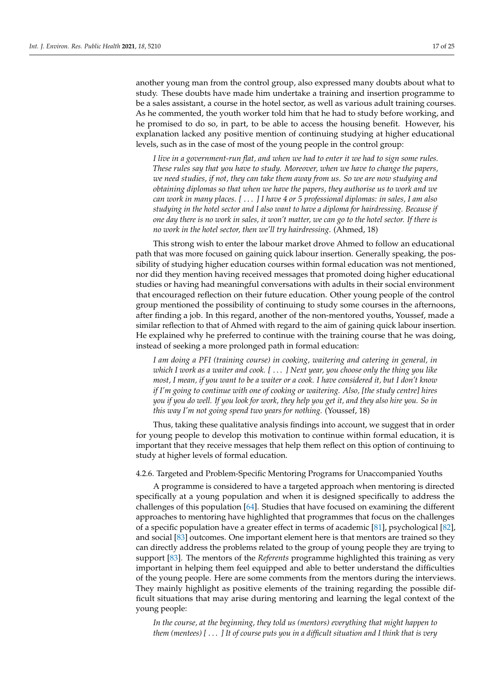another young man from the control group, also expressed many doubts about what to study. These doubts have made him undertake a training and insertion programme to be a sales assistant, a course in the hotel sector, as well as various adult training courses. As he commented, the youth worker told him that he had to study before working, and he promised to do so, in part, to be able to access the housing benefit. However, his explanation lacked any positive mention of continuing studying at higher educational levels, such as in the case of most of the young people in the control group:

*I live in a government-run flat, and when we had to enter it we had to sign some rules. These rules say that you have to study. Moreover, when we have to change the papers, we need studies, if not, they can take them away from us. So we are now studying and obtaining diplomas so that when we have the papers, they authorise us to work and we can work in many places. [* . . . *] I have 4 or 5 professional diplomas: in sales, I am also studying in the hotel sector and I also want to have a diploma for hairdressing. Because if one day there is no work in sales, it won't matter, we can go to the hotel sector. If there is no work in the hotel sector, then we'll try hairdressing*. (Ahmed, 18)

This strong wish to enter the labour market drove Ahmed to follow an educational path that was more focused on gaining quick labour insertion. Generally speaking, the possibility of studying higher education courses within formal education was not mentioned, nor did they mention having received messages that promoted doing higher educational studies or having had meaningful conversations with adults in their social environment that encouraged reflection on their future education. Other young people of the control group mentioned the possibility of continuing to study some courses in the afternoons, after finding a job. In this regard, another of the non-mentored youths, Youssef, made a similar reflection to that of Ahmed with regard to the aim of gaining quick labour insertion. He explained why he preferred to continue with the training course that he was doing, instead of seeking a more prolonged path in formal education:

*I am doing a PFI (training course) in cooking, waitering and catering in general, in which I work as a waiter and cook. [* . . . *] Next year, you choose only the thing you like most, I mean, if you want to be a waiter or a cook. I have considered it, but I don't know if I'm going to continue with one of cooking or waitering. Also, [the study centre] hires you if you do well. If you look for work, they help you get it, and they also hire you. So in this way I'm not going spend two years for nothing.* (Youssef, 18)

Thus, taking these qualitative analysis findings into account, we suggest that in order for young people to develop this motivation to continue within formal education, it is important that they receive messages that help them reflect on this option of continuing to study at higher levels of formal education.

# 4.2.6. Targeted and Problem-Specific Mentoring Programs for Unaccompanied Youths

A programme is considered to have a targeted approach when mentoring is directed specifically at a young population and when it is designed specifically to address the challenges of this population [\[64\]](#page-23-15). Studies that have focused on examining the different approaches to mentoring have highlighted that programmes that focus on the challenges of a specific population have a greater effect in terms of academic [\[81\]](#page-24-4), psychological [\[82\]](#page-24-5), and social [\[83\]](#page-24-6) outcomes. One important element here is that mentors are trained so they can directly address the problems related to the group of young people they are trying to support [\[83\]](#page-24-6). The mentors of the *Referents* programme highlighted this training as very important in helping them feel equipped and able to better understand the difficulties of the young people. Here are some comments from the mentors during the interviews. They mainly highlight as positive elements of the training regarding the possible difficult situations that may arise during mentoring and learning the legal context of the young people:

*In the course, at the beginning, they told us (mentors) everything that might happen to them (mentees) [* . . . *] It of course puts you in a difficult situation and I think that is very*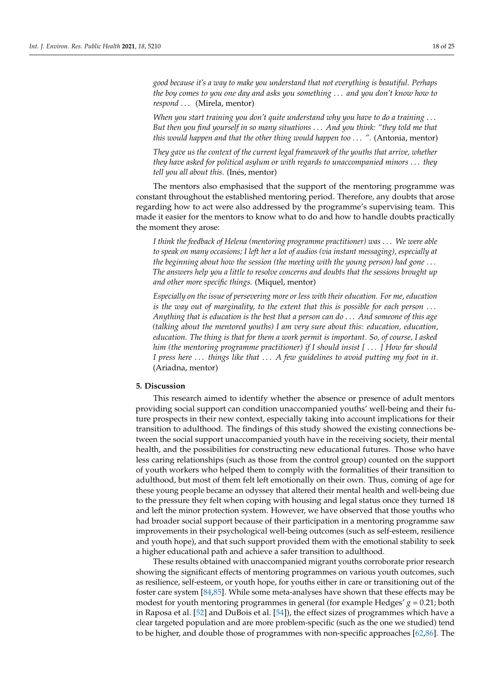*good because it's a way to make you understand that not everything is beautiful. Perhaps the boy comes to you one day and asks you something* . . . *and you don't know how to respond* . . . (Mirela, mentor)

*When you start training you don't quite understand why you have to do a training* . . . *But then you find yourself in so many situations* . . . *And you think: "they told me that this would happen and that the other thing would happen too* . . . *".* (Antonia, mentor)

*They gave us the context of the current legal framework of the youths that arrive, whether they have asked for political asylum or with regards to unaccompanied minors* . . . *they tell you all about this.* (Inés, mentor)

The mentors also emphasised that the support of the mentoring programme was constant throughout the established mentoring period. Therefore, any doubts that arose regarding how to act were also addressed by the programme's supervising team. This made it easier for the mentors to know what to do and how to handle doubts practically the moment they arose:

*I think the feedback of Helena (mentoring programme practitioner) was* . . . *We were able to speak on many occasions; I left her a lot of audios (via instant messaging), especially at the beginning about how the session (the meeting with the young person) had gone* . . . *The answers help you a little to resolve concerns and doubts that the sessions brought up and other more specific things.* (Miquel, mentor)

*Especially on the issue of persevering more or less with their education. For me, education is the way out of marginality, to the extent that this is possible for each person* . . . *Anything that is education is the best that a person can do* . . . *And someone of this age (talking about the mentored youths) I am very sure about this: education, education, education. The thing is that for them a work permit is important. So, of course, I asked him (the mentoring programme practitioner) if I should insist [* . . . *] How far should I press here* . . . *things like that* . . . *A few guidelines to avoid putting my foot in it.* (Ariadna, mentor)

# **5. Discussion**

This research aimed to identify whether the absence or presence of adult mentors providing social support can condition unaccompanied youths' well-being and their future prospects in their new context, especially taking into account implications for their transition to adulthood. The findings of this study showed the existing connections between the social support unaccompanied youth have in the receiving society, their mental health, and the possibilities for constructing new educational futures. Those who have less caring relationships (such as those from the control group) counted on the support of youth workers who helped them to comply with the formalities of their transition to adulthood, but most of them felt left emotionally on their own. Thus, coming of age for these young people became an odyssey that altered their mental health and well-being due to the pressure they felt when coping with housing and legal status once they turned 18 and left the minor protection system. However, we have observed that those youths who had broader social support because of their participation in a mentoring programme saw improvements in their psychological well-being outcomes (such as self-esteem, resilience and youth hope), and that such support provided them with the emotional stability to seek a higher educational path and achieve a safer transition to adulthood.

These results obtained with unaccompanied migrant youths corroborate prior research showing the significant effects of mentoring programmes on various youth outcomes, such as resilience, self-esteem, or youth hope, for youths either in care or transitioning out of the foster care system [\[84,](#page-24-7)[85\]](#page-24-8). While some meta-analyses have shown that these effects may be modest for youth mentoring programmes in general (for example Hedges'  $g = 0.21$ ; both in Raposa et al. [\[52\]](#page-23-4) and DuBois et al. [\[54\]](#page-23-6)), the effect sizes of programmes which have a clear targeted population and are more problem-specific (such as the one we studied) tend to be higher, and double those of programmes with non-specific approaches [\[62](#page-23-13)[,86\]](#page-24-9). The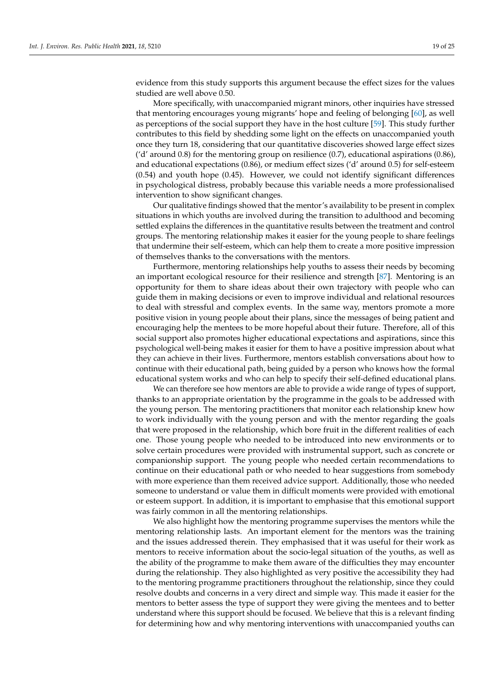evidence from this study supports this argument because the effect sizes for the values studied are well above 0.50.

More specifically, with unaccompanied migrant minors, other inquiries have stressed that mentoring encourages young migrants' hope and feeling of belonging [\[60\]](#page-23-11), as well as perceptions of the social support they have in the host culture [\[59\]](#page-23-10). This study further contributes to this field by shedding some light on the effects on unaccompanied youth once they turn 18, considering that our quantitative discoveries showed large effect sizes ('d' around 0.8) for the mentoring group on resilience (0.7), educational aspirations (0.86), and educational expectations (0.86), or medium effect sizes ('d' around 0.5) for self-esteem (0.54) and youth hope (0.45). However, we could not identify significant differences in psychological distress, probably because this variable needs a more professionalised intervention to show significant changes.

Our qualitative findings showed that the mentor's availability to be present in complex situations in which youths are involved during the transition to adulthood and becoming settled explains the differences in the quantitative results between the treatment and control groups. The mentoring relationship makes it easier for the young people to share feelings that undermine their self-esteem, which can help them to create a more positive impression of themselves thanks to the conversations with the mentors.

Furthermore, mentoring relationships help youths to assess their needs by becoming an important ecological resource for their resilience and strength [\[87\]](#page-24-10). Mentoring is an opportunity for them to share ideas about their own trajectory with people who can guide them in making decisions or even to improve individual and relational resources to deal with stressful and complex events. In the same way, mentors promote a more positive vision in young people about their plans, since the messages of being patient and encouraging help the mentees to be more hopeful about their future. Therefore, all of this social support also promotes higher educational expectations and aspirations, since this psychological well-being makes it easier for them to have a positive impression about what they can achieve in their lives. Furthermore, mentors establish conversations about how to continue with their educational path, being guided by a person who knows how the formal educational system works and who can help to specify their self-defined educational plans.

We can therefore see how mentors are able to provide a wide range of types of support, thanks to an appropriate orientation by the programme in the goals to be addressed with the young person. The mentoring practitioners that monitor each relationship knew how to work individually with the young person and with the mentor regarding the goals that were proposed in the relationship, which bore fruit in the different realities of each one. Those young people who needed to be introduced into new environments or to solve certain procedures were provided with instrumental support, such as concrete or companionship support. The young people who needed certain recommendations to continue on their educational path or who needed to hear suggestions from somebody with more experience than them received advice support. Additionally, those who needed someone to understand or value them in difficult moments were provided with emotional or esteem support. In addition, it is important to emphasise that this emotional support was fairly common in all the mentoring relationships.

We also highlight how the mentoring programme supervises the mentors while the mentoring relationship lasts. An important element for the mentors was the training and the issues addressed therein. They emphasised that it was useful for their work as mentors to receive information about the socio-legal situation of the youths, as well as the ability of the programme to make them aware of the difficulties they may encounter during the relationship. They also highlighted as very positive the accessibility they had to the mentoring programme practitioners throughout the relationship, since they could resolve doubts and concerns in a very direct and simple way. This made it easier for the mentors to better assess the type of support they were giving the mentees and to better understand where this support should be focused. We believe that this is a relevant finding for determining how and why mentoring interventions with unaccompanied youths can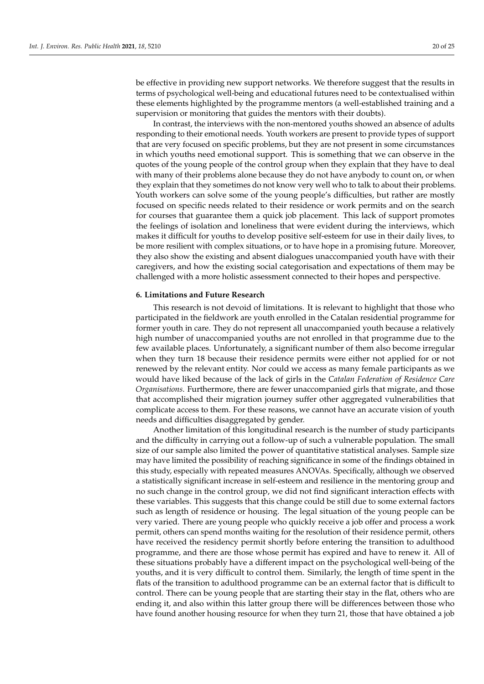be effective in providing new support networks. We therefore suggest that the results in terms of psychological well-being and educational futures need to be contextualised within these elements highlighted by the programme mentors (a well-established training and a supervision or monitoring that guides the mentors with their doubts).

In contrast, the interviews with the non-mentored youths showed an absence of adults responding to their emotional needs. Youth workers are present to provide types of support that are very focused on specific problems, but they are not present in some circumstances in which youths need emotional support. This is something that we can observe in the quotes of the young people of the control group when they explain that they have to deal with many of their problems alone because they do not have anybody to count on, or when they explain that they sometimes do not know very well who to talk to about their problems. Youth workers can solve some of the young people's difficulties, but rather are mostly focused on specific needs related to their residence or work permits and on the search for courses that guarantee them a quick job placement. This lack of support promotes the feelings of isolation and loneliness that were evident during the interviews, which makes it difficult for youths to develop positive self-esteem for use in their daily lives, to be more resilient with complex situations, or to have hope in a promising future. Moreover, they also show the existing and absent dialogues unaccompanied youth have with their caregivers, and how the existing social categorisation and expectations of them may be challenged with a more holistic assessment connected to their hopes and perspective.

# **6. Limitations and Future Research**

This research is not devoid of limitations. It is relevant to highlight that those who participated in the fieldwork are youth enrolled in the Catalan residential programme for former youth in care. They do not represent all unaccompanied youth because a relatively high number of unaccompanied youths are not enrolled in that programme due to the few available places. Unfortunately, a significant number of them also become irregular when they turn 18 because their residence permits were either not applied for or not renewed by the relevant entity. Nor could we access as many female participants as we would have liked because of the lack of girls in the *Catalan Federation of Residence Care Organisations*. Furthermore, there are fewer unaccompanied girls that migrate, and those that accomplished their migration journey suffer other aggregated vulnerabilities that complicate access to them. For these reasons, we cannot have an accurate vision of youth needs and difficulties disaggregated by gender.

Another limitation of this longitudinal research is the number of study participants and the difficulty in carrying out a follow-up of such a vulnerable population. The small size of our sample also limited the power of quantitative statistical analyses. Sample size may have limited the possibility of reaching significance in some of the findings obtained in this study, especially with repeated measures ANOVAs. Specifically, although we observed a statistically significant increase in self-esteem and resilience in the mentoring group and no such change in the control group, we did not find significant interaction effects with these variables. This suggests that this change could be still due to some external factors such as length of residence or housing. The legal situation of the young people can be very varied. There are young people who quickly receive a job offer and process a work permit, others can spend months waiting for the resolution of their residence permit, others have received the residency permit shortly before entering the transition to adulthood programme, and there are those whose permit has expired and have to renew it. All of these situations probably have a different impact on the psychological well-being of the youths, and it is very difficult to control them. Similarly, the length of time spent in the flats of the transition to adulthood programme can be an external factor that is difficult to control. There can be young people that are starting their stay in the flat, others who are ending it, and also within this latter group there will be differences between those who have found another housing resource for when they turn 21, those that have obtained a job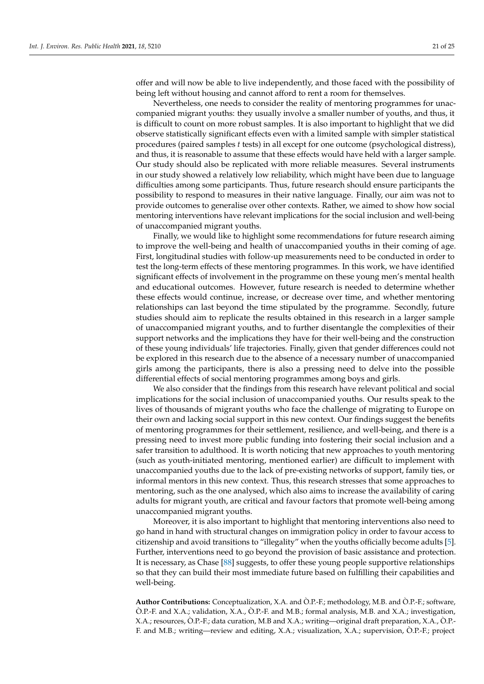offer and will now be able to live independently, and those faced with the possibility of being left without housing and cannot afford to rent a room for themselves.

Nevertheless, one needs to consider the reality of mentoring programmes for unaccompanied migrant youths: they usually involve a smaller number of youths, and thus, it is difficult to count on more robust samples. It is also important to highlight that we did observe statistically significant effects even with a limited sample with simpler statistical procedures (paired samples *t* tests) in all except for one outcome (psychological distress), and thus, it is reasonable to assume that these effects would have held with a larger sample. Our study should also be replicated with more reliable measures. Several instruments in our study showed a relatively low reliability, which might have been due to language difficulties among some participants. Thus, future research should ensure participants the possibility to respond to measures in their native language. Finally, our aim was not to provide outcomes to generalise over other contexts. Rather, we aimed to show how social mentoring interventions have relevant implications for the social inclusion and well-being of unaccompanied migrant youths.

Finally, we would like to highlight some recommendations for future research aiming to improve the well-being and health of unaccompanied youths in their coming of age. First, longitudinal studies with follow-up measurements need to be conducted in order to test the long-term effects of these mentoring programmes. In this work, we have identified significant effects of involvement in the programme on these young men's mental health and educational outcomes. However, future research is needed to determine whether these effects would continue, increase, or decrease over time, and whether mentoring relationships can last beyond the time stipulated by the programme. Secondly, future studies should aim to replicate the results obtained in this research in a larger sample of unaccompanied migrant youths, and to further disentangle the complexities of their support networks and the implications they have for their well-being and the construction of these young individuals' life trajectories. Finally, given that gender differences could not be explored in this research due to the absence of a necessary number of unaccompanied girls among the participants, there is also a pressing need to delve into the possible differential effects of social mentoring programmes among boys and girls.

We also consider that the findings from this research have relevant political and social implications for the social inclusion of unaccompanied youths. Our results speak to the lives of thousands of migrant youths who face the challenge of migrating to Europe on their own and lacking social support in this new context. Our findings suggest the benefits of mentoring programmes for their settlement, resilience, and well-being, and there is a pressing need to invest more public funding into fostering their social inclusion and a safer transition to adulthood. It is worth noticing that new approaches to youth mentoring (such as youth-initiated mentoring, mentioned earlier) are difficult to implement with unaccompanied youths due to the lack of pre-existing networks of support, family ties, or informal mentors in this new context. Thus, this research stresses that some approaches to mentoring, such as the one analysed, which also aims to increase the availability of caring adults for migrant youth, are critical and favour factors that promote well-being among unaccompanied migrant youths.

Moreover, it is also important to highlight that mentoring interventions also need to go hand in hand with structural changes on immigration policy in order to favour access to citizenship and avoid transitions to "illegality" when the youths officially become adults [\[5\]](#page-21-4). Further, interventions need to go beyond the provision of basic assistance and protection. It is necessary, as Chase [\[88\]](#page-24-11) suggests, to offer these young people supportive relationships so that they can build their most immediate future based on fulfilling their capabilities and well-being.

**Author Contributions:** Conceptualization, X.A. and Ò.P.-F.; methodology, M.B. and Ò.P.-F.; software, Ò.P.-F. and X.A.; validation, X.A., Ò.P.-F. and M.B.; formal analysis, M.B. and X.A.; investigation, X.A.; resources, Ò.P.-F.; data curation, M.B and X.A.; writing—original draft preparation, X.A., Ò.P.- F. and M.B.; writing—review and editing, X.A.; visualization, X.A.; supervision, O.P.-F.; project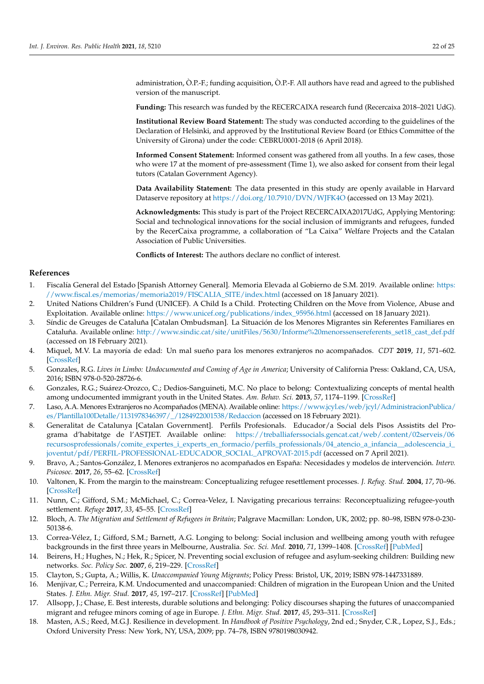administration, Ò.P.-F.; funding acquisition, Ò.P.-F. All authors have read and agreed to the published version of the manuscript.

**Funding:** This research was funded by the RECERCAIXA research fund (Recercaixa 2018–2021 UdG).

**Institutional Review Board Statement:** The study was conducted according to the guidelines of the Declaration of Helsinki, and approved by the Institutional Review Board (or Ethics Committee of the University of Girona) under the code: CEBRU0001-2018 (6 April 2018).

**Informed Consent Statement:** Informed consent was gathered from all youths. In a few cases, those who were 17 at the moment of pre-assessment (Time 1), we also asked for consent from their legal tutors (Catalan Government Agency).

**Data Availability Statement:** The data presented in this study are openly available in Harvard Dataserve repository at <https://doi.org/10.7910/DVN/WJFK4O> (accessed on 13 May 2021).

**Acknowledgments:** This study is part of the Project RECERCAIXA2017UdG, Applying Mentoring: Social and technological innovations for the social inclusion of immigrants and refugees, funded by the RecerCaixa programme, a collaboration of "La Caixa" Welfare Projects and the Catalan Association of Public Universities.

**Conflicts of Interest:** The authors declare no conflict of interest.

# **References**

- <span id="page-21-0"></span>1. Fiscalía General del Estado [Spanish Attorney General]. Memoria Elevada al Gobierno de S.M. 2019. Available online: [https:](https://www.fiscal.es/memorias/memoria2019/FISCALIA_SITE/index.html) [//www.fiscal.es/memorias/memoria2019/FISCALIA\\_SITE/index.html](https://www.fiscal.es/memorias/memoria2019/FISCALIA_SITE/index.html) (accessed on 18 January 2021).
- <span id="page-21-1"></span>2. United Nations Children's Fund (UNICEF). A Child Is a Child. Protecting Children on the Move from Violence, Abuse and Exploitation. Available online: [https://www.unicef.org/publications/index\\_95956.html](https://www.unicef.org/publications/index_95956.html) (accessed on 18 January 2021).
- <span id="page-21-2"></span>3. Síndic de Greuges de Cataluña [Catalan Ombudsman]. La Situación de los Menores Migrantes sin Referentes Familiares en Cataluña. Available online: [http://www.sindic.cat/site/unitFiles/5630/Informe%20menorssensereferents\\_set18\\_cast\\_def.pdf](http://www.sindic.cat/site/unitFiles/5630/Informe%20menorssensereferents_set18_cast_def.pdf) (accessed on 18 February 2021).
- <span id="page-21-3"></span>4. Miquel, M.V. La mayoría de edad: Un mal sueño para los menores extranjeros no acompañados. *CDT* **2019**, *11*, 571–602. [\[CrossRef\]](http://doi.org/10.20318/cdt.2019.4633)
- <span id="page-21-4"></span>5. Gonzales, R.G. *Lives in Limbo: Undocumented and Coming of Age in America*; University of California Press: Oakland, CA, USA, 2016; ISBN 978-0-520-28726-6.
- <span id="page-21-5"></span>6. Gonzales, R.G.; Suárez-Orozco, C.; Dedios-Sanguineti, M.C. No place to belong: Contextualizing concepts of mental health among undocumented immigrant youth in the United States. *Am. Behav. Sci.* **2013**, *57*, 1174–1199. [\[CrossRef\]](http://doi.org/10.1177/0002764213487349)
- <span id="page-21-6"></span>7. Laso, A.A. Menores Extranjeros no Acompañados (MENA). Available online: [https://www.jcyl.es/web/jcyl/AdministracionPublica/](https://www.jcyl.es/web/jcyl/AdministracionPublica/es/Plantilla100Detalle/1131978346397/_/1284922001538/Redaccion) [es/Plantilla100Detalle/1131978346397/\\_/1284922001538/Redaccion](https://www.jcyl.es/web/jcyl/AdministracionPublica/es/Plantilla100Detalle/1131978346397/_/1284922001538/Redaccion) (accessed on 18 February 2021).
- <span id="page-21-7"></span>8. Generalitat de Catalunya [Catalan Government]. Perfils Profesionals. Educador/a Social dels Pisos Assistits del Programa d'habitatge de l'ASTJET. Available online: [https://treballiaferssocials.gencat.cat/web/.content/02serveis/06](https://treballiaferssocials.gencat.cat/web/.content/02serveis/06recursosprofessionals/comite_expertes_i_experts_en_formacio/perfils_professionals/04_atencio_a_infancia__adolescencia_i_joventut/pdf/PERFIL-PROFESSIONAL-EDUCADOR_SOCIAL_APROVAT-2015.pdf) recursosprofessionals/comite\_expertes\_i\_experts\_en\_formacio/perfils\_professionals/04\_atencio\_a\_infancia\_adolescencia\_i\_ [joventut/pdf/PERFIL-PROFESSIONAL-EDUCADOR\\_SOCIAL\\_APROVAT-2015.pdf](https://treballiaferssocials.gencat.cat/web/.content/02serveis/06recursosprofessionals/comite_expertes_i_experts_en_formacio/perfils_professionals/04_atencio_a_infancia__adolescencia_i_joventut/pdf/PERFIL-PROFESSIONAL-EDUCADOR_SOCIAL_APROVAT-2015.pdf) (accessed on 7 April 2021).
- <span id="page-21-8"></span>9. Bravo, A.; Santos-González, I. Menores extranjeros no acompañados en España: Necesidades y modelos de intervención. *Interv. Psicosoc.* **2017**, *26*, 55–62. [\[CrossRef\]](http://doi.org/10.1016/j.psi.2015.12.001)
- <span id="page-21-9"></span>10. Valtonen, K. From the margin to the mainstream: Conceptualizing refugee resettlement processes. *J. Refug. Stud.* **2004**, *17*, 70–96. [\[CrossRef\]](http://doi.org/10.1093/jrs/17.1.70)
- <span id="page-21-10"></span>11. Nunn, C.; Gifford, S.M.; McMichael, C.; Correa-Velez, I. Navigating precarious terrains: Reconceptualizing refugee-youth settlement. *Refuge* **2017**, *33*, 45–55. [\[CrossRef\]](http://doi.org/10.7202/1043062ar)
- <span id="page-21-11"></span>12. Bloch, A. *The Migration and Settlement of Refugees in Britain*; Palgrave Macmillan: London, UK, 2002; pp. 80–98, ISBN 978-0-230- 50138-6.
- <span id="page-21-12"></span>13. Correa-Vélez, I.; Gifford, S.M.; Barnett, A.G. Longing to belong: Social inclusion and wellbeing among youth with refugee backgrounds in the first three years in Melbourne, Australia. *Soc. Sci. Med.* **2010**, *71*, 1399–1408. [\[CrossRef\]](http://doi.org/10.1016/j.socscimed.2010.07.018) [\[PubMed\]](http://www.ncbi.nlm.nih.gov/pubmed/20822841)
- <span id="page-21-13"></span>14. Beirens, H.; Hughes, N.; Hek, R.; Spicer, N. Preventing social exclusion of refugee and asylum-seeking children: Building new networks. *Soc. Policy Soc.* **2007**, *6*, 219–229. [\[CrossRef\]](http://doi.org/10.1017/S1474746406003484)
- <span id="page-21-14"></span>15. Clayton, S.; Gupta, A.; Willis, K. *Unaccompanied Young Migrants*; Policy Press: Bristol, UK, 2019; ISBN 978-1447331889.
- <span id="page-21-15"></span>16. Menjívar, C.; Perreira, K.M. Undocumented and unaccompanied: Children of migration in the European Union and the United States. *J. Ethn. Migr. Stud.* **2017**, *45*, 197–217. [\[CrossRef\]](http://doi.org/10.1080/1369183X.2017.1404255) [\[PubMed\]](http://www.ncbi.nlm.nih.gov/pubmed/31217726)
- <span id="page-21-16"></span>17. Allsopp, J.; Chase, E. Best interests, durable solutions and belonging: Policy discourses shaping the futures of unaccompanied migrant and refugee minors coming of age in Europe. *J. Ethn. Migr. Stud.* **2017**, *45*, 293–311. [\[CrossRef\]](http://doi.org/10.1080/1369183X.2017.1404265)
- <span id="page-21-17"></span>18. Masten, A.S.; Reed, M.G.J. Resilience in development. In *Handbook of Positive Psychology*, 2nd ed.; Snyder, C.R., Lopez, S.J., Eds.; Oxford University Press: New York, NY, USA, 2009; pp. 74–78, ISBN 9780198030942.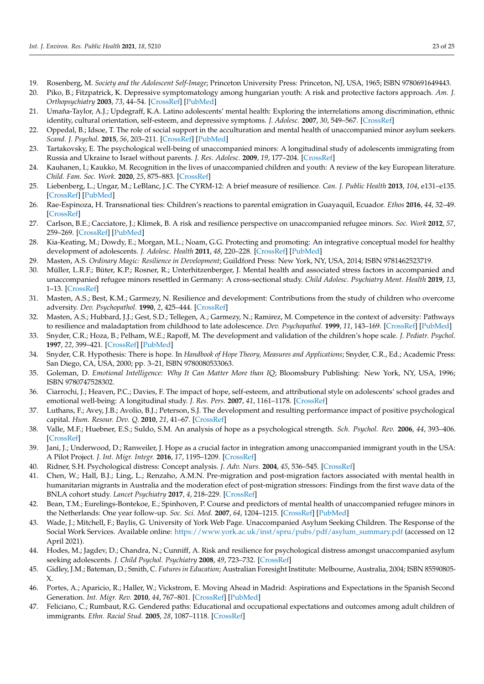- <span id="page-22-0"></span>19. Rosenberg, M. *Society and the Adolescent Self-Image*; Princeton University Press: Princeton, NJ, USA, 1965; ISBN 9780691649443.
- <span id="page-22-1"></span>20. Piko, B.; Fitzpatrick, K. Depressive symptomatology among hungarian youth: A risk and protective factors approach. *Am. J. Orthopsychiatry* **2003**, *73*, 44–54. [\[CrossRef\]](http://doi.org/10.1037/0002-9432.73.1.44) [\[PubMed\]](http://www.ncbi.nlm.nih.gov/pubmed/12674518)
- <span id="page-22-2"></span>21. Umaña-Taylor, A.J.; Updegraff, K.A. Latino adolescents' mental health: Exploring the interrelations among discrimination, ethnic identity, cultural orientation, self-esteem, and depressive symptoms. *J. Adolesc.* **2007**, *30*, 549–567. [\[CrossRef\]](http://doi.org/10.1016/j.adolescence.2006.08.002)
- <span id="page-22-3"></span>22. Oppedal, B.; Idsoe, T. The role of social support in the acculturation and mental health of unaccompanied minor asylum seekers. *Scand. J. Psychol.* **2015**, *56*, 203–211. [\[CrossRef\]](http://doi.org/10.1111/sjop.12194) [\[PubMed\]](http://www.ncbi.nlm.nih.gov/pubmed/25614276)
- <span id="page-22-4"></span>23. Tartakovsky, E. The psychological well-being of unaccompanied minors: A longitudinal study of adolescents immigrating from Russia and Ukraine to Israel without parents. *J. Res. Adolesc.* **2009**, *19*, 177–204. [\[CrossRef\]](http://doi.org/10.1111/j.1532-7795.2009.00589.x)
- <span id="page-22-5"></span>24. Kauhanen, I.; Kaukko, M. Recognition in the lives of unaccompanied children and youth: A review of the key European literature. *Child. Fam. Soc. Work.* **2020**, *25*, 875–883. [\[CrossRef\]](http://doi.org/10.1111/cfs.12772)
- <span id="page-22-6"></span>25. Liebenberg, L.; Ungar, M.; LeBlanc, J.C. The CYRM-12: A brief measure of resilience. *Can. J. Public Health* **2013**, *104*, e131–e135. [\[CrossRef\]](http://doi.org/10.1007/BF03405676) [\[PubMed\]](http://www.ncbi.nlm.nih.gov/pubmed/23618205)
- <span id="page-22-7"></span>26. Rae-Espinoza, H. Transnational ties: Children's reactions to parental emigration in Guayaquil, Ecuador. *Ethos* **2016**, *44*, 32–49. [\[CrossRef\]](http://doi.org/10.1111/etho.12111)
- 27. Carlson, B.E.; Cacciatore, J.; Klimek, B. A risk and resilience perspective on unaccompanied refugee minors. *Soc. Work* **2012**, *57*, 259–269. [\[CrossRef\]](http://doi.org/10.1093/sw/sws003) [\[PubMed\]](http://www.ncbi.nlm.nih.gov/pubmed/23252317)
- <span id="page-22-8"></span>28. Kia-Keating, M.; Dowdy, E.; Morgan, M.L.; Noam, G.G. Protecting and promoting: An integrative conceptual model for healthy development of adolescents. *J. Adolesc. Health* **2011**, *48*, 220–228. [\[CrossRef\]](http://doi.org/10.1016/j.jadohealth.2010.08.006) [\[PubMed\]](http://www.ncbi.nlm.nih.gov/pubmed/21338891)
- <span id="page-22-9"></span>29. Masten, A.S. *Ordinary Magic: Resilience in Development*; Guildford Press: New York, NY, USA, 2014; ISBN 9781462523719.
- <span id="page-22-10"></span>30. Müller, L.R.F.; Büter, K.P.; Rosner, R.; Unterhitzenberger, J. Mental health and associated stress factors in accompanied and unaccompanied refugee minors resettled in Germany: A cross-sectional study. *Child Adolesc. Psychiatry Ment. Health* **2019**, *13*, 1–13. [\[CrossRef\]](http://doi.org/10.1186/s13034-019-0268-1)
- <span id="page-22-11"></span>31. Masten, A.S.; Best, K.M.; Garmezy, N. Resilience and development: Contributions from the study of children who overcome adversity. *Dev. Psychopathol.* **1990**, *2*, 425–444. [\[CrossRef\]](http://doi.org/10.1017/S0954579400005812)
- <span id="page-22-12"></span>32. Masten, A.S.; Hubbard, J.J.; Gest, S.D.; Tellegen, A.; Garmezy, N.; Ramirez, M. Competence in the context of adversity: Pathways to resilience and maladaptation from childhood to late adolescence. *Dev. Psychopathol.* **1999**, *11*, 143–169. [\[CrossRef\]](http://doi.org/10.1017/S0954579499001996) [\[PubMed\]](http://www.ncbi.nlm.nih.gov/pubmed/10208360)
- <span id="page-22-13"></span>33. Snyder, C.R.; Hoza, B.; Pelham, W.E.; Rapoff, M. The development and validation of the children's hope scale. *J. Pediatr. Psychol.* **1997**, *22*, 399–421. [\[CrossRef\]](http://doi.org/10.1093/jpepsy/22.3.399) [\[PubMed\]](http://www.ncbi.nlm.nih.gov/pubmed/9212556)
- <span id="page-22-14"></span>34. Snyder, C.R. Hypothesis: There is hope. In *Handbook of Hope Theory, Measures and Applications*; Snyder, C.R., Ed.; Academic Press: San Diego, CA, USA, 2000; pp. 3–21, ISBN 9780080533063.
- <span id="page-22-15"></span>35. Goleman, D. *Emotional Intelligence: Why It Can Matter More than IQ*; Bloomsbury Publishing: New York, NY, USA, 1996; ISBN 9780747528302.
- <span id="page-22-16"></span>36. Ciarrochi, J.; Heaven, P.C.; Davies, F. The impact of hope, self-esteem, and attributional style on adolescents' school grades and emotional well-being: A longitudinal study. *J. Res. Pers.* **2007**, *41*, 1161–1178. [\[CrossRef\]](http://doi.org/10.1016/j.jrp.2007.02.001)
- <span id="page-22-17"></span>37. Luthans, F.; Avey, J.B.; Avolio, B.J.; Peterson, S.J. The development and resulting performance impact of positive psychological capital. *Hum. Resour. Dev. Q.* **2010**, *21*, 41–67. [\[CrossRef\]](http://doi.org/10.1002/hrdq.20034)
- <span id="page-22-18"></span>38. Valle, M.F.; Huebner, E.S.; Suldo, S.M. An analysis of hope as a psychological strength. *Sch. Psychol. Rev.* **2006**, *44*, 393–406. [\[CrossRef\]](http://doi.org/10.1016/j.jsp.2006.03.005)
- <span id="page-22-19"></span>39. Jani, J.; Underwood, D.; Ranweiler, J. Hope as a crucial factor in integration among unaccompanied immigrant youth in the USA: A Pilot Project. *J. Int. Migr. Integr.* **2016**, *17*, 1195–1209. [\[CrossRef\]](http://doi.org/10.1007/s12134-015-0457-6)
- <span id="page-22-20"></span>40. Ridner, S.H. Psychological distress: Concept analysis. *J. Adv. Nurs.* **2004**, *45*, 536–545. [\[CrossRef\]](http://doi.org/10.1046/j.1365-2648.2003.02938.x)
- <span id="page-22-21"></span>41. Chen, W.; Hall, B.J.; Ling, L.; Renzaho, A.M.N. Pre-migration and post-migration factors associated with mental health in humanitarian migrants in Australia and the moderation efect of post-migration stressors: Findings from the first wave data of the BNLA cohort study. *Lancet Psychiatry* **2017**, *4*, 218–229. [\[CrossRef\]](http://doi.org/10.1016/S2215-0366(17)30032-9)
- <span id="page-22-22"></span>42. Bean, T.M.; Eurelings-Bontekoe, E.; Spinhoven, P. Course and predictors of mental health of unaccompanied refugee minors in the Netherlands: One year follow-up. *Soc. Sci. Med.* **2007**, *64*, 1204–1215. [\[CrossRef\]](http://doi.org/10.1016/j.socscimed.2006.11.010) [\[PubMed\]](http://www.ncbi.nlm.nih.gov/pubmed/17188787)
- <span id="page-22-23"></span>43. Wade, J.; Mitchell, F.; Baylis, G. University of York Web Page. Unaccompanied Asylum Seeking Children. The Response of the Social Work Services. Available online: [https://www.york.ac.uk/inst/spru/pubs/pdf/asylum\\_summary.pdf](https://www.york.ac.uk/inst/spru/pubs/pdf/asylum_summary.pdf) (accessed on 12 April 2021).
- <span id="page-22-24"></span>44. Hodes, M.; Jagdev, D.; Chandra, N.; Cunniff, A. Risk and resilience for psychological distress amongst unaccompanied asylum seeking adolescents. *J. Child Psychol. Psychiatry* **2008**, *49*, 723–732. [\[CrossRef\]](http://doi.org/10.1111/j.1469-7610.2008.01912.x)
- <span id="page-22-25"></span>45. Gidley, J.M.; Bateman, D.; Smith, C. *Futures in Education*; Australian Foresight Institute: Melbourne, Australia, 2004; ISBN 85590805- X.
- <span id="page-22-26"></span>46. Portes, A.; Aparicio, R.; Haller, W.; Vickstrom, E. Moving Ahead in Madrid: Aspirations and Expectations in the Spanish Second Generation. *Int. Migr. Rev.* **2010**, *44*, 767–801. [\[CrossRef\]](http://doi.org/10.1111/j.1747-7379.2010.00825.x) [\[PubMed\]](http://www.ncbi.nlm.nih.gov/pubmed/22904591)
- <span id="page-22-27"></span>47. Feliciano, C.; Rumbaut, R.G. Gendered paths: Educational and occupational expectations and outcomes among adult children of immigrants. *Ethn. Racial Stud.* **2005**, *28*, 1087–1118. [\[CrossRef\]](http://doi.org/10.1080/01419870500224406)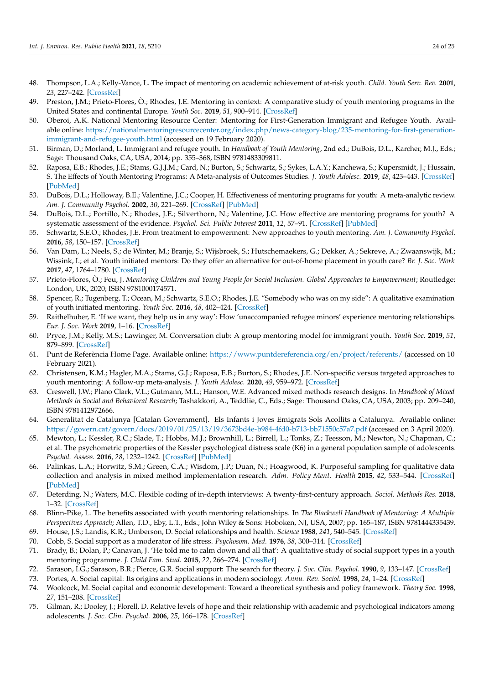- <span id="page-23-0"></span>48. Thompson, L.A.; Kelly-Vance, L. The impact of mentoring on academic achievement of at-risk youth. *Child. Youth Serv. Rev.* **2001**, *23*, 227–242. [\[CrossRef\]](http://doi.org/10.1016/S0190-7409(01)00134-7)
- <span id="page-23-1"></span>49. Preston, J.M.; Prieto-Flores, Ò.; Rhodes, J.E. Mentoring in context: A comparative study of youth mentoring programs in the United States and continental Europe. *Youth Soc.* **2019**, *51*, 900–914. [\[CrossRef\]](http://doi.org/10.1177/0044118X18813700)
- <span id="page-23-2"></span>50. Oberoi, A.K. National Mentoring Resource Center: Mentoring for First-Generation Immigrant and Refugee Youth. Available online: [https://nationalmentoringresourcecenter.org/index.php/news-category-blog/235-mentoring-for-first-generation](https://nationalmentoringresourcecenter.org/index.php/news-category-blog/235-mentoring-for-first-generation-immigrant-and-refugee-youth.html)[immigrant-and-refugee-youth.html](https://nationalmentoringresourcecenter.org/index.php/news-category-blog/235-mentoring-for-first-generation-immigrant-and-refugee-youth.html) (accessed on 19 February 2020).
- <span id="page-23-3"></span>51. Birman, D.; Morland, L. Immigrant and refugee youth. In *Handbook of Youth Mentoring*, 2nd ed.; DuBois, D.L., Karcher, M.J., Eds.; Sage: Thousand Oaks, CA, USA, 2014; pp. 355–368, ISBN 9781483309811.
- <span id="page-23-4"></span>52. Raposa, E.B.; Rhodes, J.E.; Stams, G.J.J.M.; Card, N.; Burton, S.; Schwartz, S.; Sykes, L.A.Y.; Kanchewa, S.; Kupersmidt, J.; Hussain, S. The Effects of Youth Mentoring Programs: A Meta-analysis of Outcomes Studies. *J. Youth Adolesc.* **2019**, *48*, 423–443. [\[CrossRef\]](http://doi.org/10.1007/s10964-019-00982-8) [\[PubMed\]](http://www.ncbi.nlm.nih.gov/pubmed/30661211)
- <span id="page-23-5"></span>53. DuBois, D.L.; Holloway, B.E.; Valentine, J.C.; Cooper, H. Effectiveness of mentoring programs for youth: A meta-analytic review. *Am. J. Community Psychol.* **2002**, *30*, 221–269. [\[CrossRef\]](http://doi.org/10.1023/A:1014628810714) [\[PubMed\]](http://www.ncbi.nlm.nih.gov/pubmed/12002242)
- <span id="page-23-6"></span>54. DuBois, D.L.; Portillo, N.; Rhodes, J.E.; Silverthorn, N.; Valentine, J.C. How effective are mentoring programs for youth? A systematic assessment of the evidence. *Psychol. Sci. Public Interest* **2011**, *12*, 57–91. [\[CrossRef\]](http://doi.org/10.1177/1529100611414806) [\[PubMed\]](http://www.ncbi.nlm.nih.gov/pubmed/26167708)
- <span id="page-23-7"></span>55. Schwartz, S.E.O.; Rhodes, J.E. From treatment to empowerment: New approaches to youth mentoring. *Am. J. Community Psychol.* **2016**, *58*, 150–157. [\[CrossRef\]](http://doi.org/10.1002/ajcp.12070)
- 56. Van Dam, L.; Neels, S.; de Winter, M.; Branje, S.; Wijsbroek, S.; Hutschemaekers, G.; Dekker, A.; Sekreve, A.; Zwaanswijk, M.; Wissink, I.; et al. Youth initiated mentors: Do they offer an alternative for out-of-home placement in youth care? *Br. J. Soc. Work* **2017**, *47*, 1764–1780. [\[CrossRef\]](http://doi.org/10.1093/bjsw/bcx092)
- <span id="page-23-8"></span>57. Prieto-Flores, Ò.; Feu, J. *Mentoring Children and Young People for Social Inclusion. Global Approaches to Empowerment*; Routledge: London, UK, 2020; ISBN 9781000174571.
- <span id="page-23-9"></span>58. Spencer, R.; Tugenberg, T.; Ocean, M.; Schwartz, S.E.O.; Rhodes, J.E. "Somebody who was on my side": A qualitative examination of youth initiated mentoring. *Youth Soc.* **2016**, *48*, 402–424. [\[CrossRef\]](http://doi.org/10.1177/0044118X13495053)
- <span id="page-23-10"></span>59. Raithelhuber, E. 'If we want, they help us in any way': How 'unaccompanied refugee minors' experience mentoring relationships. *Eur. J. Soc. Work* **2019**, 1–16. [\[CrossRef\]](http://doi.org/10.1080/13691457.2019.1606787)
- <span id="page-23-11"></span>60. Pryce, J.M.; Kelly, M.S.; Lawinger, M. Conversation club: A group mentoring model for immigrant youth. *Youth Soc.* **2019**, *51*, 879–899. [\[CrossRef\]](http://doi.org/10.1177/0044118X18780526)
- <span id="page-23-12"></span>61. Punt de Referència Home Page. Available online: <https://www.puntdereferencia.org/en/project/referents/> (accessed on 10 February 2021).
- <span id="page-23-13"></span>62. Christensen, K.M.; Hagler, M.A.; Stams, G.J.; Raposa, E.B.; Burton, S.; Rhodes, J.E. Non-specific versus targeted approaches to youth mentoring: A follow-up meta-analysis. *J. Youth Adolesc.* **2020**, *49*, 959–972. [\[CrossRef\]](http://doi.org/10.1007/s10964-020-01233-x)
- <span id="page-23-14"></span>63. Creswell, J.W.; Plano Clark, V.L.; Gutmann, M.L.; Hanson, W.E. Advanced mixed methods research designs. In *Handbook of Mixed Methods in Social and Behavioral Research*; Tashakkori, A., Teddlie, C., Eds.; Sage: Thousand Oaks, CA, USA, 2003; pp. 209–240, ISBN 9781412972666.
- <span id="page-23-15"></span>64. Generalitat de Catalunya [Catalan Government]. Els Infants i Joves Emigrats Sols Acollits a Catalunya. Available online: <https://govern.cat/govern/docs/2019/01/25/13/19/3673bd4e-b984-4fd0-b713-bb71550c57a7.pdf> (accessed on 3 April 2020).
- <span id="page-23-16"></span>65. Mewton, L.; Kessler, R.C.; Slade, T.; Hobbs, M.J.; Brownhill, L.; Birrell, L.; Tonks, Z.; Teesson, M.; Newton, N.; Chapman, C.; et al. The psychometric properties of the Kessler psychological distress scale (K6) in a general population sample of adolescents. *Psychol. Assess.* **2016**, *28*, 1232–1242. [\[CrossRef\]](http://doi.org/10.1037/pas0000239) [\[PubMed\]](http://www.ncbi.nlm.nih.gov/pubmed/26619095)
- <span id="page-23-17"></span>66. Palinkas, L.A.; Horwitz, S.M.; Green, C.A.; Wisdom, J.P.; Duan, N.; Hoagwood, K. Purposeful sampling for qualitative data collection and analysis in mixed method implementation research. *Adm. Policy Ment. Health* **2015**, *42*, 533–544. [\[CrossRef\]](http://doi.org/10.1007/s10488-013-0528-y) [\[PubMed\]](http://www.ncbi.nlm.nih.gov/pubmed/24193818)
- <span id="page-23-18"></span>67. Deterding, N.; Waters, M.C. Flexible coding of in-depth interviews: A twenty-first-century approach. *Sociol. Methods Res.* **2018**, 1–32. [\[CrossRef\]](http://doi.org/10.1177/0049124118799377)
- <span id="page-23-19"></span>68. Blinn-Pike, L. The benefits associated with youth mentoring relationships. In *The Blackwell Handbook of Mentoring: A Multiple Perspectives Approach*; Allen, T.D., Eby, L.T., Eds.; John Wiley & Sons: Hoboken, NJ, USA, 2007; pp. 165–187, ISBN 9781444335439.
- <span id="page-23-20"></span>69. House, J.S.; Landis, K.R.; Umberson, D. Social relationships and health. *Science* **1988**, *241*, 540–545. [\[CrossRef\]](http://doi.org/10.1126/science.3399889)
- <span id="page-23-21"></span>70. Cobb, S. Social support as a moderator of life stress. *Psychosom. Med.* **1976**, *38*, 300–314. [\[CrossRef\]](http://doi.org/10.1097/00006842-197609000-00003)
- <span id="page-23-22"></span>71. Brady, B.; Dolan, P.; Canavan, J. 'He told me to calm down and all that': A qualitative study of social support types in a youth mentoring programme. *J. Child Fam. Stud.* **2015**, *22*, 266–274. [\[CrossRef\]](http://doi.org/10.1111/cfs.12235)
- <span id="page-23-23"></span>72. Sarason, I.G.; Sarason, B.R.; Pierce, G.R. Social support: The search for theory. *J. Soc. Clin. Psychol.* **1990**, *9*, 133–147. [\[CrossRef\]](http://doi.org/10.1521/jscp.1990.9.1.133)
- <span id="page-23-24"></span>73. Portes, A. Social capital: Its origins and applications in modern sociology. *Annu. Rev. Sociol.* **1998**, *24*, 1–24. [\[CrossRef\]](http://doi.org/10.1146/annurev.soc.24.1.1)
- <span id="page-23-25"></span>74. Woolcock, M. Social capital and economic development: Toward a theoretical synthesis and policy framework. *Theory Soc.* **1998**, *27*, 151–208. [\[CrossRef\]](http://doi.org/10.1023/A:1006884930135)
- <span id="page-23-26"></span>75. Gilman, R.; Dooley, J.; Florell, D. Relative levels of hope and their relationship with academic and psychological indicators among adolescents. *J. Soc. Clin. Psychol.* **2006**, *25*, 166–178. [\[CrossRef\]](http://doi.org/10.1521/jscp.2006.25.2.166)